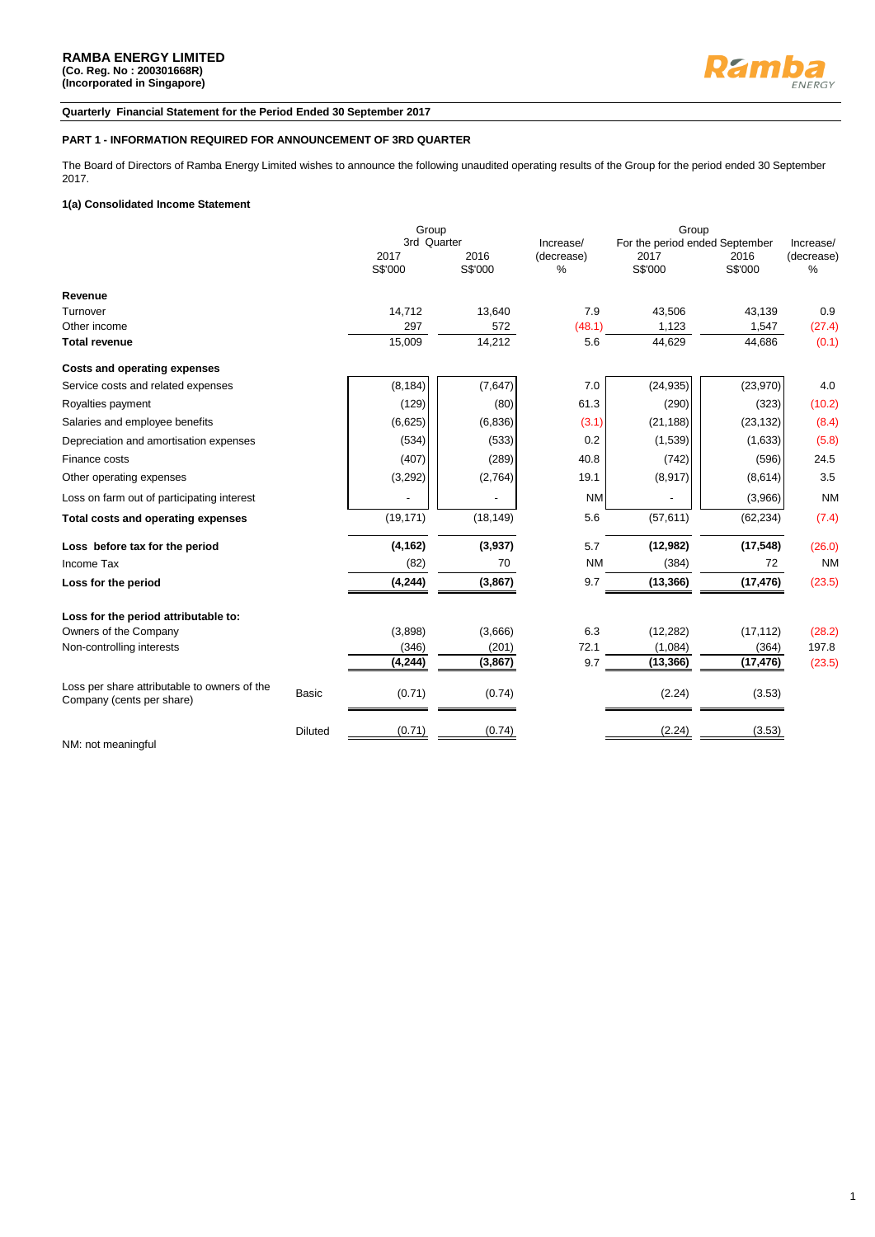### **RAMBA ENERGY LIMITED (Co. Reg. No : 200301668R) (Incorporated in Singapore)**



#### **Quarterly Financial Statement for the Period Ended 30 September 2017**

#### **PART 1 - INFORMATION REQUIRED FOR ANNOUNCEMENT OF 3RD QUARTER**

The Board of Directors of Ramba Energy Limited wishes to announce the following unaudited operating results of the Group for the period ended 30 September 2017.

#### **1(a) Consolidated Income Statement**

|                                                                                    |                | Group                          |                 |                                 | Group<br>For the period ended September |                 |                              |  |  |  |
|------------------------------------------------------------------------------------|----------------|--------------------------------|-----------------|---------------------------------|-----------------------------------------|-----------------|------------------------------|--|--|--|
|                                                                                    |                | 3rd Quarter<br>2017<br>S\$'000 | 2016<br>S\$'000 | Increase/<br>(decrease)<br>$\%$ | 2017<br>S\$'000                         | 2016<br>S\$'000 | Increase/<br>(decrease)<br>% |  |  |  |
| Revenue                                                                            |                |                                |                 |                                 |                                         |                 |                              |  |  |  |
| Turnover                                                                           |                | 14,712                         | 13,640          | 7.9                             | 43,506                                  | 43,139          | 0.9                          |  |  |  |
| Other income                                                                       |                | 297                            | 572             | (48.1)                          | 1,123                                   | 1,547           | (27.4)                       |  |  |  |
| <b>Total revenue</b>                                                               |                | 15,009                         | 14,212          | 5.6                             | 44,629                                  | 44,686          | (0.1)                        |  |  |  |
| Costs and operating expenses                                                       |                |                                |                 |                                 |                                         |                 |                              |  |  |  |
| Service costs and related expenses                                                 |                | (8, 184)                       | (7,647)         | 7.0                             | (24, 935)                               | (23,970)        | 4.0                          |  |  |  |
| Royalties payment                                                                  |                | (129)                          | (80)            | 61.3                            | (290)                                   | (323)           | (10.2)                       |  |  |  |
| Salaries and employee benefits                                                     |                | (6,625)                        | (6,836)         | (3.1)                           | (21, 188)                               | (23, 132)       | (8.4)                        |  |  |  |
| Depreciation and amortisation expenses                                             |                | (534)                          | (533)           | 0.2                             | (1,539)                                 | (1,633)         | (5.8)                        |  |  |  |
| Finance costs                                                                      |                | (407)                          | (289)           | 40.8                            | (742)                                   | (596)           | 24.5                         |  |  |  |
| Other operating expenses                                                           |                | (3,292)                        | (2,764)         | 19.1                            | (8, 917)                                | (8,614)         | 3.5                          |  |  |  |
| Loss on farm out of participating interest                                         |                |                                |                 | <b>NM</b>                       |                                         | (3,966)         | <b>NM</b>                    |  |  |  |
| Total costs and operating expenses                                                 |                | (19, 171)                      | (18, 149)       | 5.6                             | (57, 611)                               | (62, 234)       | (7.4)                        |  |  |  |
| Loss before tax for the period                                                     |                | (4, 162)                       | (3,937)         | 5.7                             | (12,982)                                | (17, 548)       | (26.0)                       |  |  |  |
| Income Tax                                                                         |                | (82)                           | 70              | <b>NM</b>                       | (384)                                   | 72              | <b>NM</b>                    |  |  |  |
| Loss for the period                                                                |                | (4, 244)                       | (3, 867)        | 9.7                             | (13, 366)                               | (17, 476)       | (23.5)                       |  |  |  |
| Loss for the period attributable to:                                               |                |                                |                 |                                 |                                         |                 |                              |  |  |  |
| Owners of the Company                                                              |                | (3,898)                        | (3,666)         | 6.3                             | (12, 282)                               | (17, 112)       | (28.2)                       |  |  |  |
| Non-controlling interests                                                          |                | (346)                          | (201)           | 72.1                            | (1,084)                                 | (364)           | 197.8                        |  |  |  |
|                                                                                    |                | (4, 244)                       | (3,867)         | 9.7                             | (13, 366)                               | (17, 476)       | (23.5)                       |  |  |  |
| Loss per share attributable to owners of the<br>Basic<br>Company (cents per share) |                | (0.71)                         | (0.74)          |                                 | (2.24)                                  | (3.53)          |                              |  |  |  |
| NM: not meaningful                                                                 | <b>Diluted</b> | (0.71)                         | (0.74)          |                                 | (2.24)                                  | (3.53)          |                              |  |  |  |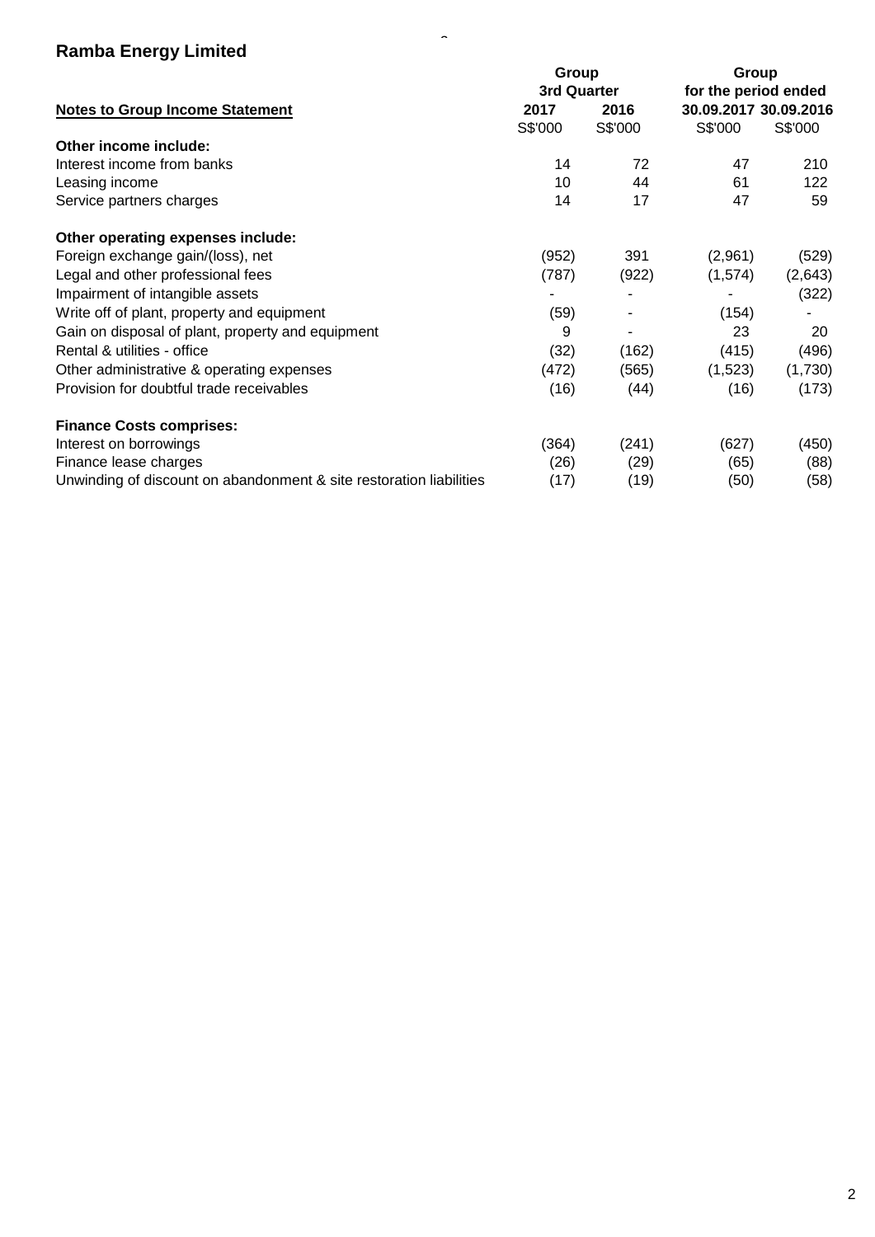|                                                                     | Group       | Group   |                       |         |  |
|---------------------------------------------------------------------|-------------|---------|-----------------------|---------|--|
|                                                                     | 3rd Quarter |         | for the period ended  |         |  |
| <b>Notes to Group Income Statement</b>                              | 2017        | 2016    | 30.09.2017 30.09.2016 |         |  |
|                                                                     | S\$'000     | S\$'000 | S\$'000               | S\$'000 |  |
| Other income include:                                               |             |         |                       |         |  |
| Interest income from banks                                          | 14          | 72      | 47                    | 210     |  |
| Leasing income                                                      | 10          | 44      | 61                    | 122     |  |
| Service partners charges                                            | 14          | 17      | 47                    | 59      |  |
| Other operating expenses include:                                   |             |         |                       |         |  |
| Foreign exchange gain/(loss), net                                   | (952)       | 391     | (2,961)               | (529)   |  |
| Legal and other professional fees                                   | (787)       | (922)   | (1,574)               | (2,643) |  |
| Impairment of intangible assets                                     |             |         |                       | (322)   |  |
| Write off of plant, property and equipment                          | (59)        |         | (154)                 |         |  |
| Gain on disposal of plant, property and equipment                   | 9           |         | 23                    | 20      |  |
| Rental & utilities - office                                         | (32)        | (162)   | (415)                 | (496)   |  |
| Other administrative & operating expenses                           | (472)       | (565)   | (1,523)               | (1,730) |  |
| Provision for doubtful trade receivables                            | (16)        | (44)    | (16)                  | (173)   |  |
| <b>Finance Costs comprises:</b>                                     |             |         |                       |         |  |
| Interest on borrowings                                              | (364)       | (241)   | (627)                 | (450)   |  |
| Finance lease charges                                               | (26)        | (29)    | (65)                  | (88)    |  |
| Unwinding of discount on abandonment & site restoration liabilities | (17)        | (19)    | (50)                  | (58)    |  |

 $\overline{a}$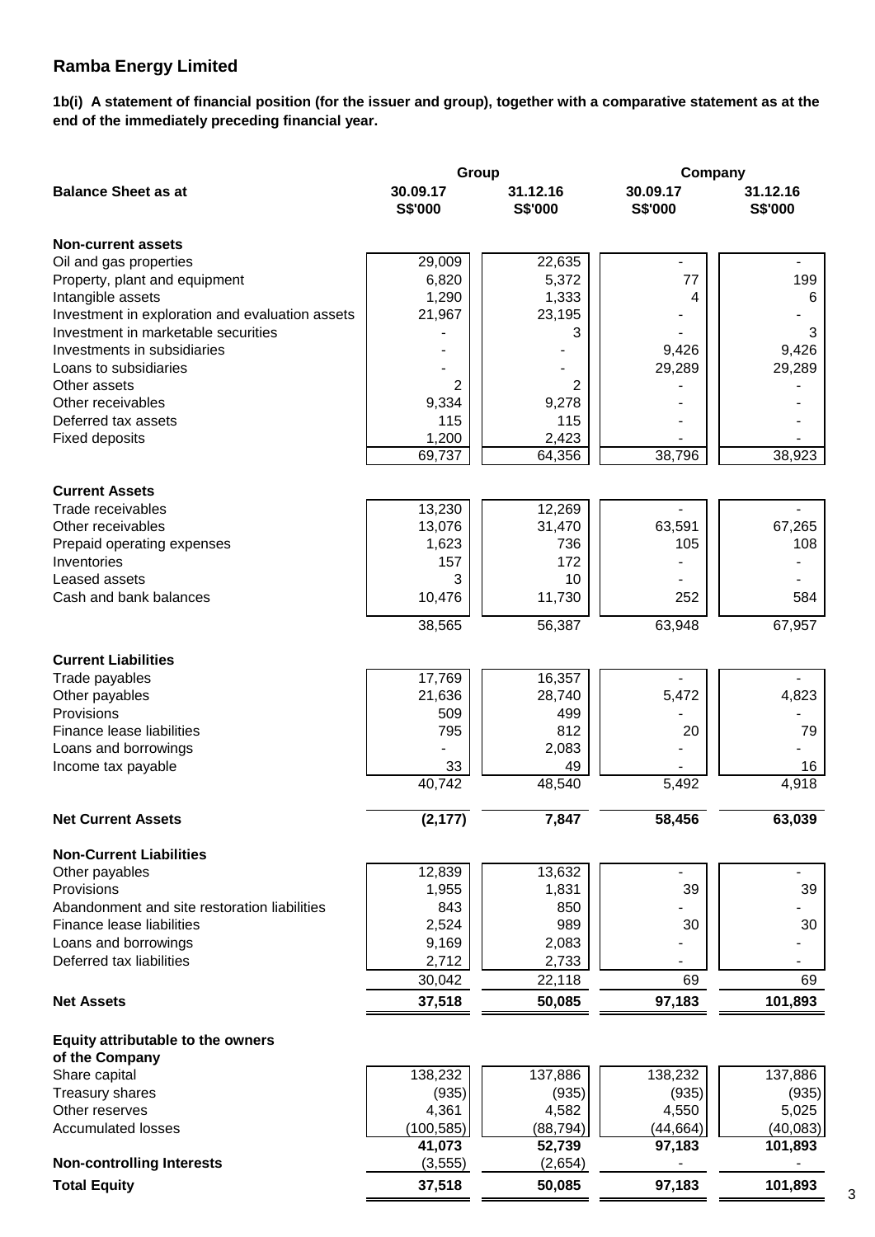**1b(i) A statement of financial position (for the issuer and group), together with a comparative statement as at the end of the immediately preceding financial year.**

|                                                 | Group                      |                     | Company                    |                     |  |
|-------------------------------------------------|----------------------------|---------------------|----------------------------|---------------------|--|
| <b>Balance Sheet as at</b>                      | 30.09.17<br><b>S\$'000</b> | 31.12.16<br>S\$'000 | 30.09.17<br><b>S\$'000</b> | 31.12.16<br>S\$'000 |  |
| <b>Non-current assets</b>                       |                            |                     |                            |                     |  |
| Oil and gas properties                          | 29,009                     | 22,635              |                            |                     |  |
| Property, plant and equipment                   | 6,820                      | 5,372               | 77                         | 199                 |  |
| Intangible assets                               | 1,290                      | 1,333               | 4                          | 6                   |  |
| Investment in exploration and evaluation assets | 21,967                     | 23,195              |                            |                     |  |
| Investment in marketable securities             |                            | 3                   |                            | 3                   |  |
| Investments in subsidiaries                     |                            |                     | 9,426                      | 9,426               |  |
|                                                 |                            |                     |                            |                     |  |
| Loans to subsidiaries                           |                            |                     | 29,289                     | 29,289              |  |
| Other assets                                    | 2                          | 2                   |                            |                     |  |
| Other receivables                               | 9,334                      | 9,278               |                            |                     |  |
| Deferred tax assets                             | 115                        | 115                 |                            |                     |  |
| <b>Fixed deposits</b>                           | 1,200                      | 2,423               |                            |                     |  |
|                                                 | 69,737                     | 64,356              | 38,796                     | 38,923              |  |
| <b>Current Assets</b>                           |                            |                     |                            |                     |  |
| Trade receivables                               | 13,230                     | 12,269              |                            |                     |  |
| Other receivables                               | 13,076                     | 31,470              | 63,591                     | 67,265              |  |
| Prepaid operating expenses                      | 1,623                      | 736                 | 105                        | 108                 |  |
| Inventories                                     | 157                        | 172                 |                            |                     |  |
| Leased assets                                   | 3                          | 10                  |                            |                     |  |
|                                                 |                            |                     |                            |                     |  |
| Cash and bank balances                          | 10,476                     | 11,730              | 252                        | 584                 |  |
|                                                 | 38,565                     | 56,387              | 63,948                     | 67,957              |  |
|                                                 |                            |                     |                            |                     |  |
| <b>Current Liabilities</b>                      |                            |                     |                            |                     |  |
| Trade payables                                  | 17,769                     | 16,357              |                            |                     |  |
| Other payables                                  | 21,636                     | 28,740              | 5,472                      | 4,823               |  |
| Provisions                                      | 509                        | 499                 |                            |                     |  |
| Finance lease liabilities                       | 795                        | 812                 | 20                         | 79                  |  |
| Loans and borrowings                            |                            | 2,083               |                            |                     |  |
| Income tax payable                              | 33                         | 49                  |                            | 16                  |  |
|                                                 | 40,742                     | 48,540              | 5,492                      | 4,918               |  |
| <b>Net Current Assets</b>                       | (2, 177)                   | 7,847               | 58,456                     | 63,039              |  |
| <b>Non-Current Liabilities</b>                  |                            |                     |                            |                     |  |
| Other payables                                  | 12,839                     | 13,632              |                            |                     |  |
| Provisions                                      | 1,955                      | 1,831               | 39                         | 39                  |  |
| Abandonment and site restoration liabilities    | 843                        | 850                 |                            |                     |  |
| Finance lease liabilities                       | 2,524                      | 989                 | 30                         | 30                  |  |
| Loans and borrowings                            | 9,169                      | 2,083               |                            |                     |  |
| Deferred tax liabilities                        | 2,712                      | 2,733               |                            |                     |  |
|                                                 | 30,042                     | 22,118              | 69                         | 69                  |  |
| <b>Net Assets</b>                               | 37,518                     | 50,085              | 97,183                     | 101,893             |  |
|                                                 |                            |                     |                            |                     |  |
| Equity attributable to the owners               |                            |                     |                            |                     |  |
| of the Company                                  |                            |                     |                            |                     |  |
| Share capital                                   | 138,232                    | 137,886             | 138,232                    | 137,886             |  |
| Treasury shares                                 | (935)                      | (935)               | (935)                      | (935)               |  |
| Other reserves                                  | 4,361                      | 4,582               | 4,550                      | 5,025               |  |
| <b>Accumulated losses</b>                       | (100, 585)                 | (88, 794)           | (44, 664)                  | (40, 083)           |  |
|                                                 | 41,073                     | 52,739              | 97,183                     | 101,893             |  |
| <b>Non-controlling Interests</b>                | (3, 555)                   | (2,654)             |                            |                     |  |
| <b>Total Equity</b>                             | 37,518                     | 50,085              | 97,183                     | 101,893             |  |

3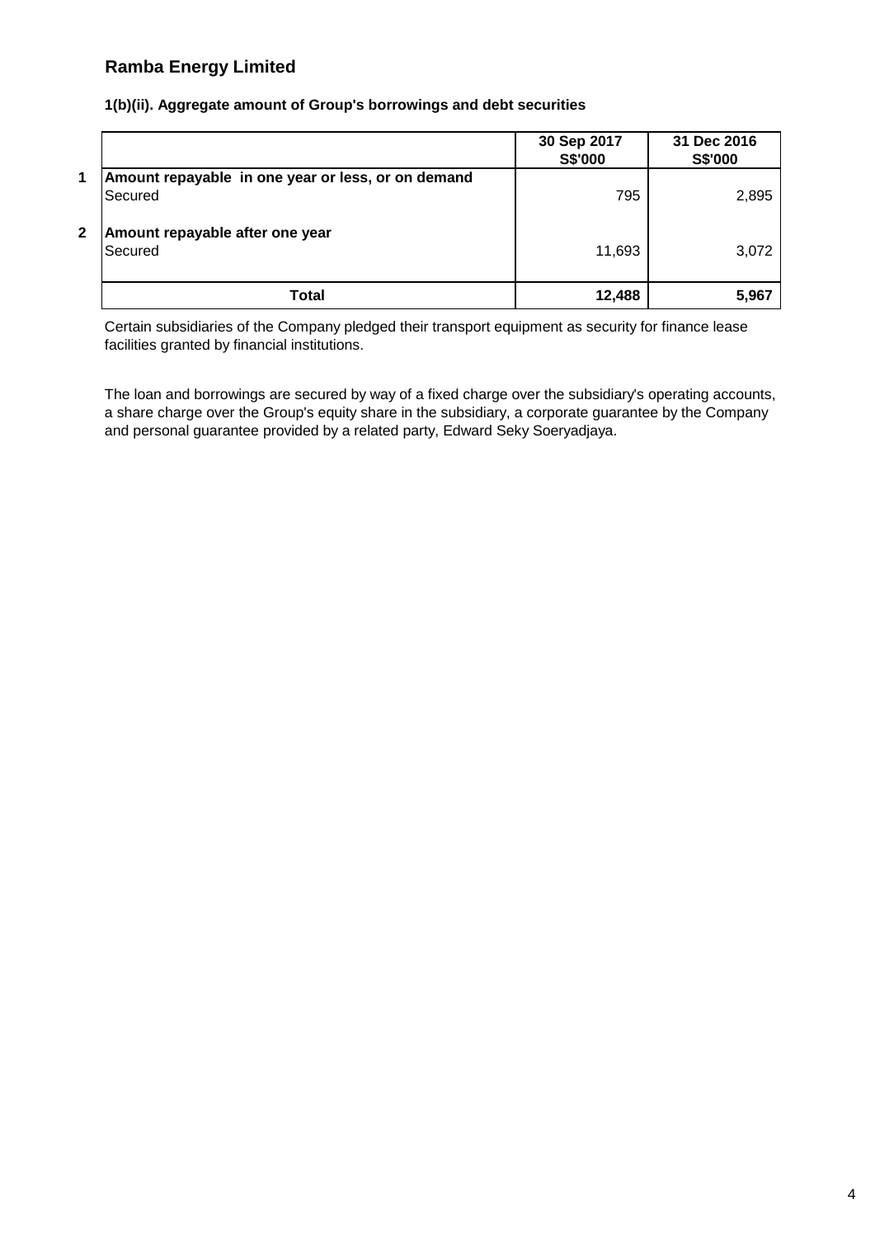### **1(b)(ii). Aggregate amount of Group's borrowings and debt securities**

|              |                                                               | 30 Sep 2017<br>S\$'000 | 31 Dec 2016<br>S\$'000 |
|--------------|---------------------------------------------------------------|------------------------|------------------------|
| 1            | Amount repayable in one year or less, or on demand<br>Secured | 795                    | 2,895                  |
| $\mathbf{2}$ | Amount repayable after one year<br>Secured                    | 11,693                 | 3,072                  |
|              | <b>Total</b>                                                  | 12,488                 | 5,967                  |

Certain subsidiaries of the Company pledged their transport equipment as security for finance lease facilities granted by financial institutions.

The loan and borrowings are secured by way of a fixed charge over the subsidiary's operating accounts, a share charge over the Group's equity share in the subsidiary, a corporate guarantee by the Company and personal guarantee provided by a related party, Edward Seky Soeryadjaya.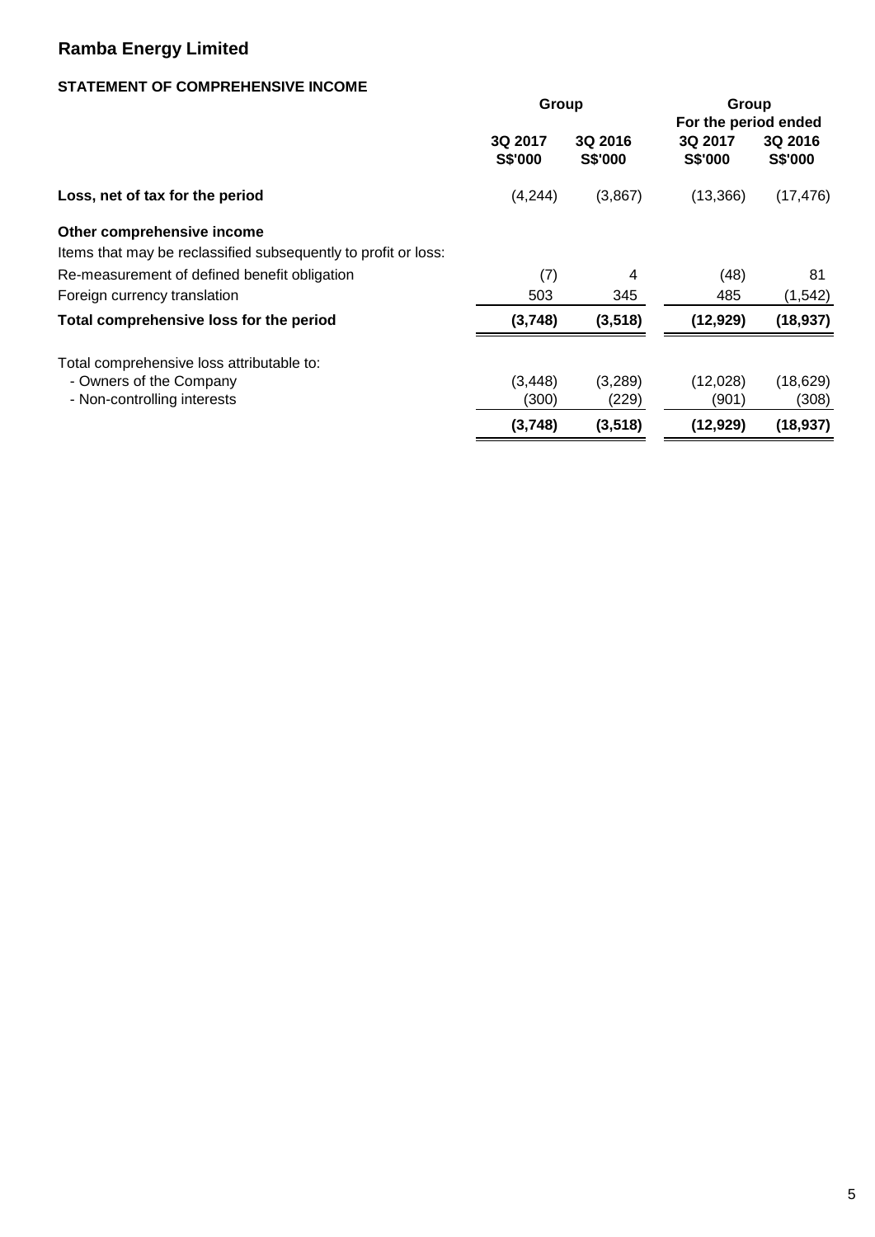### **STATEMENT OF COMPREHENSIVE INCOME**

|                                                                                              | Group                     |                           | Group<br>For the period ended |                    |
|----------------------------------------------------------------------------------------------|---------------------------|---------------------------|-------------------------------|--------------------|
|                                                                                              | 3Q 2017<br><b>S\$'000</b> | 3Q 2016<br><b>S\$'000</b> | 3Q 2017<br><b>S\$'000</b>     | 3Q 2016<br>S\$'000 |
| Loss, net of tax for the period                                                              | (4,244)                   | (3,867)                   | (13, 366)                     | (17, 476)          |
| Other comprehensive income<br>Items that may be reclassified subsequently to profit or loss: |                           |                           |                               |                    |
| Re-measurement of defined benefit obligation                                                 | (7)                       | 4                         | (48)                          | 81                 |
| Foreign currency translation                                                                 | 503                       | 345                       | 485                           | (1,542)            |
| Total comprehensive loss for the period                                                      | (3,748)                   | (3, 518)                  | (12, 929)                     | (18, 937)          |
| Total comprehensive loss attributable to:                                                    |                           |                           |                               |                    |
| - Owners of the Company                                                                      | (3, 448)                  | (3,289)                   | (12,028)                      | (18, 629)          |
| - Non-controlling interests                                                                  | (300)                     | (229)                     | (901)                         | (308)              |
|                                                                                              | (3,748)                   | (3, 518)                  | (12, 929)                     | (18, 937)          |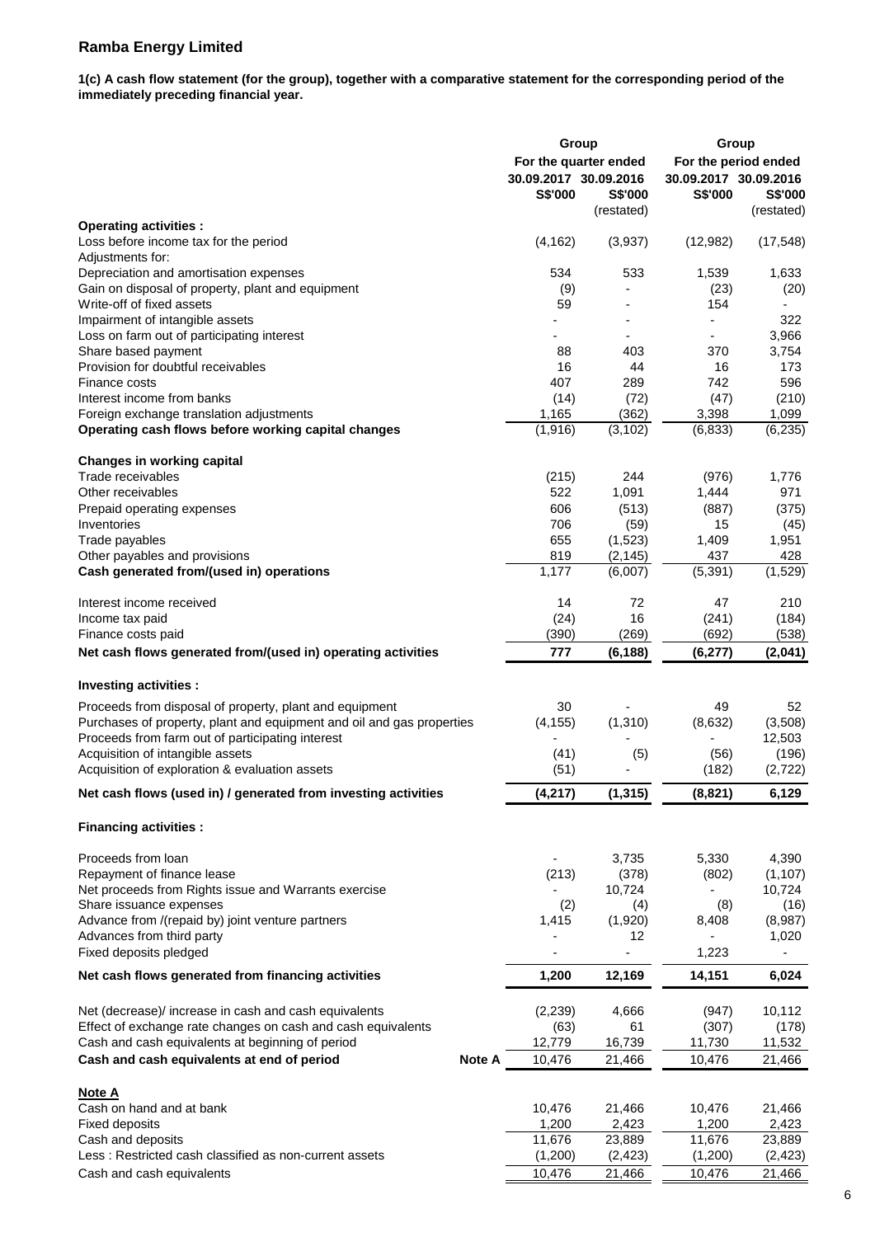**1(c) A cash flow statement (for the group), together with a comparative statement for the corresponding period of the immediately preceding financial year.**

|                                                                                                                           |               | Group                                   |                                                       | Group                                   |                                                      |  |  |
|---------------------------------------------------------------------------------------------------------------------------|---------------|-----------------------------------------|-------------------------------------------------------|-----------------------------------------|------------------------------------------------------|--|--|
|                                                                                                                           |               | 30.09.2017 30.09.2016<br><b>S\$'000</b> | For the quarter ended<br><b>S\$'000</b><br>(restated) | 30.09.2017 30.09.2016<br><b>S\$'000</b> | For the period ended<br><b>S\$'000</b><br>(restated) |  |  |
| <b>Operating activities:</b>                                                                                              |               |                                         |                                                       |                                         |                                                      |  |  |
| Loss before income tax for the period                                                                                     |               | (4, 162)                                | (3,937)                                               | (12,982)                                | (17, 548)                                            |  |  |
| Adjustments for:                                                                                                          |               |                                         |                                                       |                                         |                                                      |  |  |
| Depreciation and amortisation expenses                                                                                    |               | 534                                     | 533                                                   | 1,539                                   | 1,633                                                |  |  |
| Gain on disposal of property, plant and equipment                                                                         |               | (9)                                     |                                                       | (23)                                    | (20)                                                 |  |  |
| Write-off of fixed assets                                                                                                 |               | 59                                      |                                                       | 154                                     |                                                      |  |  |
| Impairment of intangible assets                                                                                           |               |                                         |                                                       | $\overline{a}$                          | 322                                                  |  |  |
| Loss on farm out of participating interest<br>Share based payment                                                         |               | 88                                      | 403                                                   | 370                                     | 3,966<br>3,754                                       |  |  |
| Provision for doubtful receivables                                                                                        |               | 16                                      | 44                                                    | 16                                      | 173                                                  |  |  |
| Finance costs                                                                                                             |               | 407                                     | 289                                                   | 742                                     | 596                                                  |  |  |
| Interest income from banks                                                                                                |               | (14)                                    | (72)                                                  | (47)                                    | (210)                                                |  |  |
| Foreign exchange translation adjustments                                                                                  |               | 1,165                                   | (362)                                                 | 3,398                                   | 1,099                                                |  |  |
| Operating cash flows before working capital changes                                                                       |               | (1,916)                                 | (3, 102)                                              | (6, 833)                                | (6, 235)                                             |  |  |
| <b>Changes in working capital</b>                                                                                         |               |                                         |                                                       |                                         |                                                      |  |  |
| Trade receivables                                                                                                         |               | (215)                                   | 244                                                   | (976)                                   | 1,776                                                |  |  |
| Other receivables                                                                                                         |               | 522                                     | 1,091                                                 | 1,444                                   | 971                                                  |  |  |
| Prepaid operating expenses                                                                                                |               | 606                                     | (513)                                                 | (887)                                   | (375)                                                |  |  |
| Inventories                                                                                                               |               | 706                                     | (59)                                                  | 15                                      | (45)                                                 |  |  |
| Trade payables                                                                                                            |               | 655                                     | (1,523)                                               | 1,409                                   | 1,951                                                |  |  |
| Other payables and provisions<br>Cash generated from/(used in) operations                                                 |               | 819<br>1,177                            | (2, 145)<br>(6,007)                                   | 437<br>(5, 391)                         | 428<br>(1,529)                                       |  |  |
| Interest income received                                                                                                  |               | 14                                      | 72                                                    | 47                                      | 210                                                  |  |  |
| Income tax paid                                                                                                           |               | (24)                                    | 16                                                    | (241)                                   | (184)                                                |  |  |
| Finance costs paid                                                                                                        |               | (390)                                   | (269)                                                 | (692)                                   | (538)                                                |  |  |
| Net cash flows generated from/(used in) operating activities                                                              |               | 777                                     | (6, 188)                                              | (6, 277)                                | (2,041)                                              |  |  |
| Investing activities :                                                                                                    |               |                                         |                                                       |                                         |                                                      |  |  |
| Proceeds from disposal of property, plant and equipment                                                                   |               | 30                                      |                                                       | 49                                      | 52                                                   |  |  |
| Purchases of property, plant and equipment and oil and gas properties<br>Proceeds from farm out of participating interest |               | (4, 155)                                | (1, 310)                                              | (8,632)                                 | (3,508)<br>12,503                                    |  |  |
| Acquisition of intangible assets<br>Acquisition of exploration & evaluation assets                                        |               | (41)<br>(51)                            | (5)                                                   | (56)<br>(182)                           | (196)<br>(2,722)                                     |  |  |
| Net cash flows (used in) / generated from investing activities                                                            |               | (4, 217)                                | (1, 315)                                              | (8, 821)                                | 6,129                                                |  |  |
| <b>Financing activities:</b>                                                                                              |               |                                         |                                                       |                                         |                                                      |  |  |
|                                                                                                                           |               |                                         |                                                       |                                         |                                                      |  |  |
| Proceeds from loan                                                                                                        |               |                                         | 3,735                                                 | 5,330                                   | 4,390                                                |  |  |
| Repayment of finance lease                                                                                                |               | (213)                                   | (378)                                                 | (802)                                   | (1, 107)                                             |  |  |
| Net proceeds from Rights issue and Warrants exercise<br>Share issuance expenses                                           |               | (2)                                     | 10,724<br>(4)                                         | (8)                                     | 10,724<br>(16)                                       |  |  |
| Advance from /(repaid by) joint venture partners                                                                          |               | 1,415                                   | (1,920)                                               | 8,408                                   | (8,987)                                              |  |  |
| Advances from third party                                                                                                 |               |                                         | 12                                                    |                                         | 1,020                                                |  |  |
| Fixed deposits pledged                                                                                                    |               |                                         |                                                       | 1,223                                   |                                                      |  |  |
| Net cash flows generated from financing activities                                                                        |               | 1,200                                   | 12,169                                                | 14,151                                  | 6,024                                                |  |  |
|                                                                                                                           |               |                                         |                                                       |                                         |                                                      |  |  |
| Net (decrease)/ increase in cash and cash equivalents                                                                     |               | (2, 239)                                | 4,666                                                 | (947)                                   | 10,112                                               |  |  |
| Effect of exchange rate changes on cash and cash equivalents<br>Cash and cash equivalents at beginning of period          |               | (63)                                    | 61<br>16,739                                          | (307)                                   | (178)                                                |  |  |
| Cash and cash equivalents at end of period                                                                                | <b>Note A</b> | 12,779<br>10,476                        | 21,466                                                | 11,730<br>10,476                        | 11,532<br>21,466                                     |  |  |
| Note A                                                                                                                    |               |                                         |                                                       |                                         |                                                      |  |  |
| Cash on hand and at bank                                                                                                  |               | 10,476                                  | 21,466                                                | 10,476                                  | 21,466                                               |  |  |
| <b>Fixed deposits</b>                                                                                                     |               | 1,200                                   | 2,423                                                 | 1,200                                   | 2,423                                                |  |  |
| Cash and deposits                                                                                                         |               | 11,676                                  | 23,889                                                | 11,676                                  | 23,889                                               |  |  |
| Less : Restricted cash classified as non-current assets                                                                   |               | (1,200)                                 | (2, 423)                                              | (1,200)                                 | (2, 423)                                             |  |  |
| Cash and cash equivalents                                                                                                 |               | 10,476                                  | 21,466                                                | 10,476                                  | 21,466                                               |  |  |
|                                                                                                                           |               |                                         |                                                       |                                         |                                                      |  |  |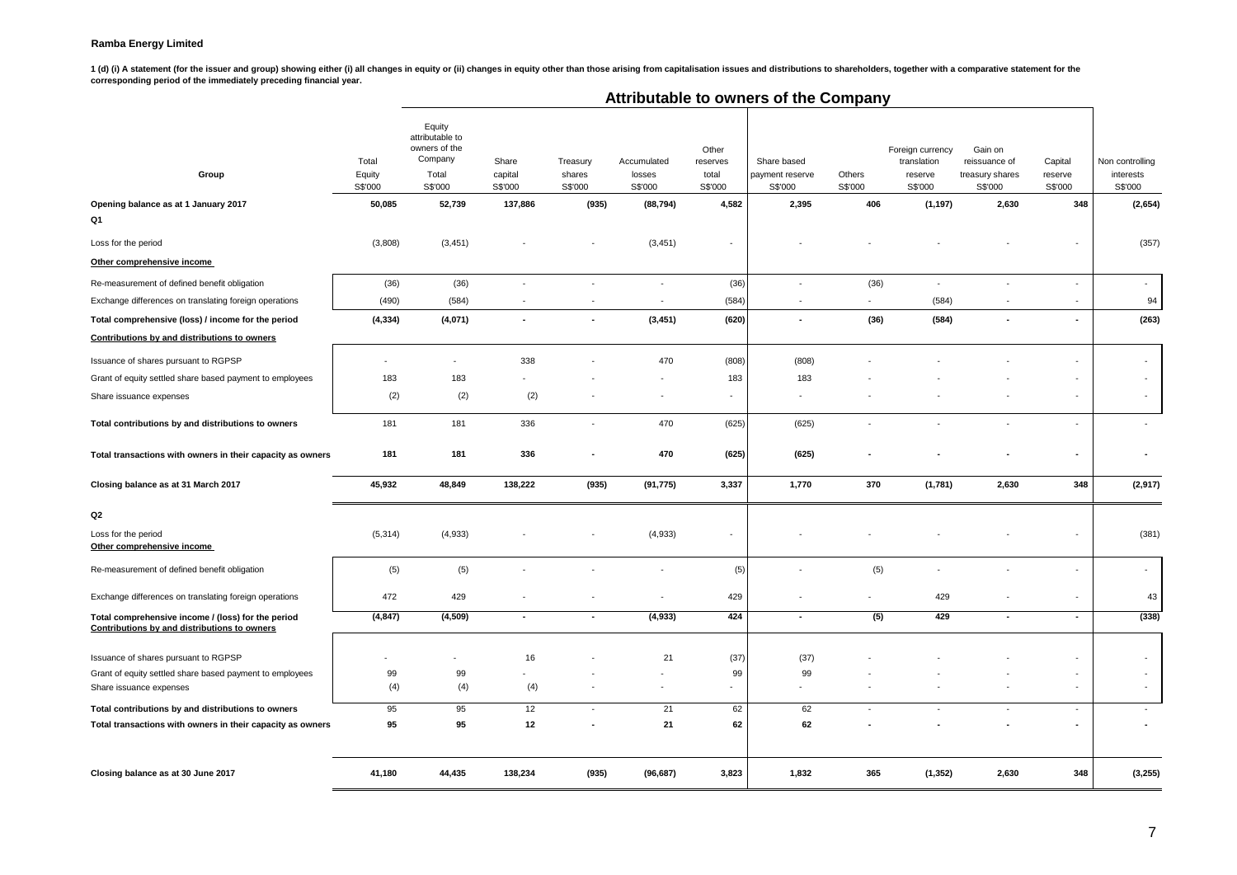1 (d) (i) A statement (for the issuer and group) showing either (i) all changes in equity or (ii) changes in equity other than those arising from capitalisation issues and distributions to shareholders, together with a com

|                                                                                                    |                            | Attributable to owners of the Company                                     |                             |                               |                                  |                                       |                                           |                     |                                                       |                                                        |                               |                                         |
|----------------------------------------------------------------------------------------------------|----------------------------|---------------------------------------------------------------------------|-----------------------------|-------------------------------|----------------------------------|---------------------------------------|-------------------------------------------|---------------------|-------------------------------------------------------|--------------------------------------------------------|-------------------------------|-----------------------------------------|
| Group                                                                                              | Total<br>Equity<br>S\$'000 | Equity<br>attributable to<br>owners of the<br>Company<br>Total<br>S\$'000 | Share<br>capital<br>S\$'000 | Treasury<br>shares<br>S\$'000 | Accumulated<br>losses<br>S\$'000 | Other<br>reserves<br>total<br>S\$'000 | Share based<br>payment reserve<br>S\$'000 | Others<br>S\$'000   | Foreign currency<br>translation<br>reserve<br>S\$'000 | Gain on<br>reissuance of<br>treasury shares<br>S\$'000 | Capital<br>reserve<br>S\$'000 | Non controlling<br>interests<br>S\$'000 |
| Opening balance as at 1 January 2017                                                               | 50,085                     | 52,739                                                                    | 137,886                     | (935)                         | (88, 794)                        | 4,582                                 | 2,395                                     | 406                 | (1, 197)                                              | 2,630                                                  | 348                           | (2,654)                                 |
| Q1                                                                                                 |                            |                                                                           |                             |                               |                                  |                                       |                                           |                     |                                                       |                                                        |                               |                                         |
| Loss for the period                                                                                | (3,808)                    | (3, 451)                                                                  |                             |                               | (3, 451)                         | $\overline{\phantom{a}}$              |                                           |                     |                                                       |                                                        |                               | (357)                                   |
| Other comprehensive income                                                                         |                            |                                                                           |                             |                               |                                  |                                       |                                           |                     |                                                       |                                                        |                               |                                         |
| Re-measurement of defined benefit obligation                                                       | (36)                       | (36)                                                                      | $\sim$                      | ä,                            | ÷,                               | (36)                                  |                                           | (36)                | $\mathbf{r}$                                          |                                                        | $\blacksquare$                | $\sim$                                  |
| Exchange differences on translating foreign operations                                             | (490)                      | (584)                                                                     |                             |                               | $\overline{\phantom{a}}$         | (584)                                 |                                           | $\bar{\phantom{a}}$ | (584)                                                 |                                                        | $\blacksquare$                | 94                                      |
| Total comprehensive (loss) / income for the period                                                 | (4, 334)                   | (4,071)                                                                   | $\sim$                      | $\blacksquare$                | (3, 451)                         | (620)                                 | $\blacksquare$                            | (36)                | (584)                                                 | $\blacksquare$                                         | $\overline{\phantom{a}}$      | (263)                                   |
| Contributions by and distributions to owners                                                       |                            |                                                                           |                             |                               |                                  |                                       |                                           |                     |                                                       |                                                        |                               |                                         |
| Issuance of shares pursuant to RGPSP                                                               | ٠                          | $\blacksquare$                                                            | 338                         |                               | 470                              | (808)                                 | (808)                                     |                     |                                                       |                                                        | $\blacksquare$                |                                         |
| Grant of equity settled share based payment to employees                                           | 183                        | 183                                                                       |                             |                               |                                  | 183                                   | 183                                       |                     |                                                       |                                                        |                               |                                         |
| Share issuance expenses                                                                            | (2)                        | (2)                                                                       | (2)                         |                               |                                  | $\sim$                                |                                           |                     |                                                       |                                                        | $\blacksquare$                | $\omega$                                |
| Total contributions by and distributions to owners                                                 | 181                        | 181                                                                       | 336                         | $\sim$                        | 470                              | (625)                                 | (625)                                     | $\blacksquare$      | $\sim$                                                |                                                        | $\blacksquare$                | $\omega$                                |
| Total transactions with owners in their capacity as owners                                         | 181                        | 181                                                                       | 336                         |                               | 470                              | (625)                                 | (625)                                     |                     |                                                       |                                                        | $\overline{\phantom{a}}$      |                                         |
| Closing balance as at 31 March 2017                                                                | 45,932                     | 48,849                                                                    | 138,222                     | (935)                         | (91, 775)                        | 3,337                                 | 1,770                                     | 370                 | (1,781)                                               | 2,630                                                  | 348                           | (2,917)                                 |
| Q2                                                                                                 |                            |                                                                           |                             |                               |                                  |                                       |                                           |                     |                                                       |                                                        |                               |                                         |
| Loss for the period<br>Other comprehensive income                                                  | (5, 314)                   | (4,933)                                                                   |                             |                               | (4,933)                          | $\overline{\phantom{a}}$              |                                           |                     |                                                       |                                                        |                               | (381)                                   |
| Re-measurement of defined benefit obligation                                                       | (5)                        | (5)                                                                       |                             |                               |                                  | (5)                                   |                                           | (5)                 |                                                       |                                                        | ۰                             | $\overline{\phantom{a}}$                |
| Exchange differences on translating foreign operations                                             | 472                        | 429                                                                       |                             | $\overline{\phantom{a}}$      | $\blacksquare$                   | 429                                   |                                           | $\blacksquare$      | 429                                                   |                                                        | $\blacksquare$                | 43                                      |
| Total comprehensive income / (loss) for the period<br>Contributions by and distributions to owners | (4, 847)                   | (4,509)                                                                   | $\overline{\phantom{a}}$    | $\blacksquare$                | (4, 933)                         | 424                                   | $\sim$                                    | (5)                 | 429                                                   | $\blacksquare$                                         | $\sim$                        | (338)                                   |
| Issuance of shares pursuant to RGPSP                                                               |                            |                                                                           | 16                          |                               | 21                               | (37)                                  | (37)                                      |                     |                                                       |                                                        |                               |                                         |
| Grant of equity settled share based payment to employees                                           | 99                         | 99                                                                        |                             |                               | $\blacksquare$                   | 99                                    | 99                                        |                     |                                                       |                                                        | $\blacksquare$                |                                         |
| Share issuance expenses                                                                            | (4)                        | (4)                                                                       | (4)                         |                               | $\blacksquare$                   |                                       |                                           |                     |                                                       |                                                        | $\blacksquare$                | $\sim$                                  |
| Total contributions by and distributions to owners                                                 | 95                         | 95                                                                        | 12                          | $\mathbf{r}$                  | 21                               | 62                                    | 62                                        | $\blacksquare$      | $\mathbf{r}$                                          | $\sim$                                                 | $\blacksquare$                | $\omega$                                |
| Total transactions with owners in their capacity as owners                                         | 95                         | 95                                                                        | 12                          |                               | 21                               | 62                                    | 62                                        |                     |                                                       |                                                        |                               |                                         |
| Closing balance as at 30 June 2017                                                                 | 41,180                     | 44,435                                                                    | 138,234                     | (935)                         | (96, 687)                        | 3,823                                 | 1,832                                     | 365                 | (1, 352)                                              | 2,630                                                  | 348                           | (3, 255)                                |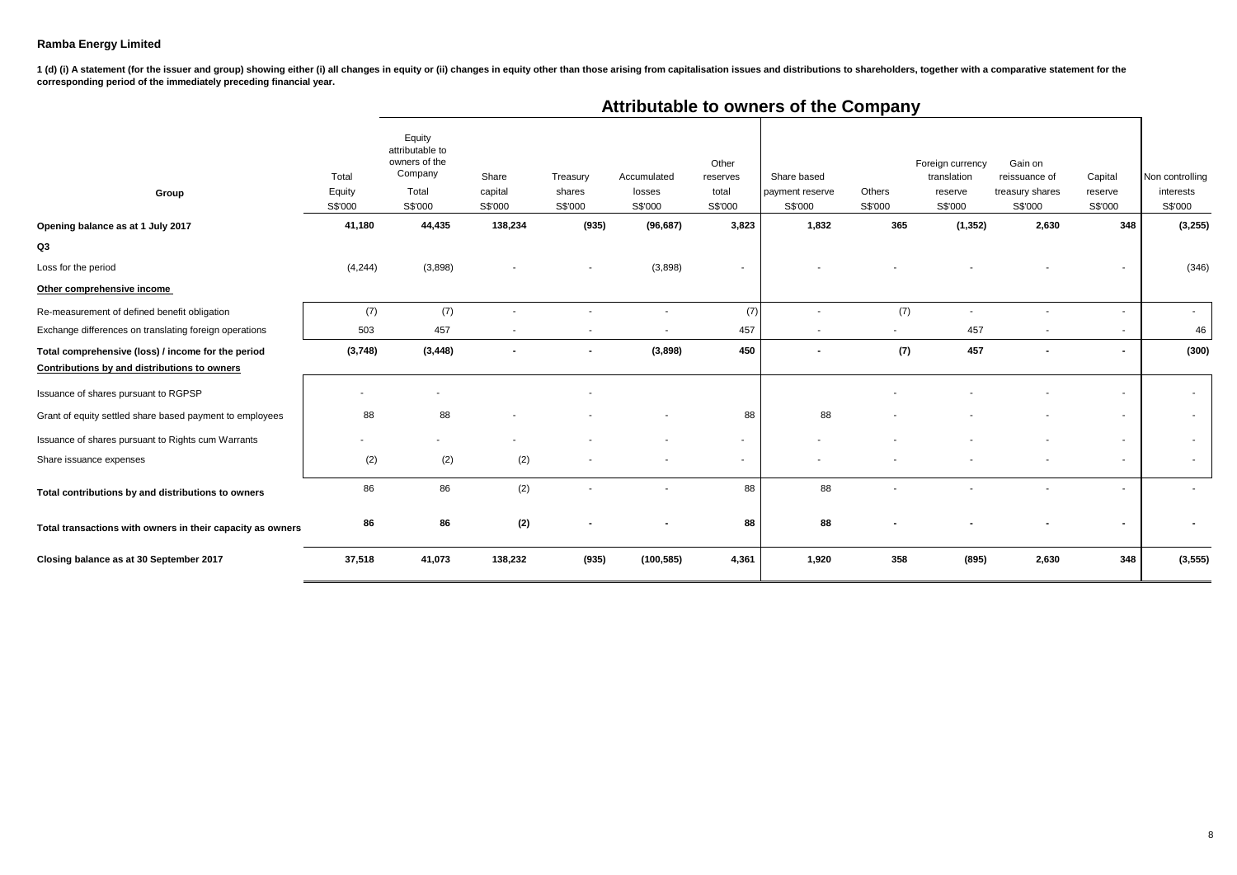1 (d) (i) A statement (for the issuer and group) showing either (i) all changes in equity or (ii) changes in equity other than those arising from capitalisation issues and distributions to shareholders, together with a com **corresponding period of the immediately preceding financial year.**

|                                                            |                              | Attributable to owners of the company                                     |                             |                               |                                  |                                       |                                           |                   |                                                       |                                                        |                               |                                         |
|------------------------------------------------------------|------------------------------|---------------------------------------------------------------------------|-----------------------------|-------------------------------|----------------------------------|---------------------------------------|-------------------------------------------|-------------------|-------------------------------------------------------|--------------------------------------------------------|-------------------------------|-----------------------------------------|
| Group                                                      | Total<br>Equity<br>S\$'000   | Equity<br>attributable to<br>owners of the<br>Company<br>Total<br>S\$'000 | Share<br>capital<br>S\$'000 | Treasury<br>shares<br>S\$'000 | Accumulated<br>losses<br>S\$'000 | Other<br>reserves<br>total<br>S\$'000 | Share based<br>payment reserve<br>S\$'000 | Others<br>S\$'000 | Foreign currency<br>translation<br>reserve<br>S\$'000 | Gain on<br>reissuance of<br>treasury shares<br>S\$'000 | Capital<br>reserve<br>S\$'000 | Non controlling<br>interests<br>S\$'000 |
| Opening balance as at 1 July 2017                          | 41,180                       | 44,435                                                                    | 138,234                     | (935)                         | (96, 687)                        | 3,823                                 | 1,832                                     | 365               | (1, 352)                                              | 2,630                                                  | 348                           | (3,255)                                 |
| Q3                                                         |                              |                                                                           |                             |                               |                                  |                                       |                                           |                   |                                                       |                                                        |                               |                                         |
| Loss for the period                                        | (4, 244)                     | (3,898)                                                                   |                             |                               | (3,898)                          | $\sim$                                |                                           |                   |                                                       |                                                        |                               | (346)                                   |
| Other comprehensive income                                 |                              |                                                                           |                             |                               |                                  |                                       |                                           |                   |                                                       |                                                        |                               |                                         |
| Re-measurement of defined benefit obligation               | (7)                          | (7)                                                                       |                             |                               |                                  | (7)                                   |                                           | (7)               |                                                       |                                                        | $\sim$                        | $\sim$                                  |
| Exchange differences on translating foreign operations     | 503                          | 457                                                                       | $\overline{\phantom{a}}$    |                               |                                  | 457                                   | $\overline{\phantom{a}}$                  |                   | 457                                                   |                                                        | $\overline{\phantom{a}}$      | 46                                      |
| Total comprehensive (loss) / income for the period         | (3,748)                      | (3, 448)                                                                  | $\blacksquare$              | $\blacksquare$                | (3,898)                          | 450                                   |                                           | (7)               | 457                                                   | $\blacksquare$                                         | $\blacksquare$                | (300)                                   |
| Contributions by and distributions to owners               |                              |                                                                           |                             |                               |                                  |                                       |                                           |                   |                                                       |                                                        |                               |                                         |
| Issuance of shares pursuant to RGPSP                       |                              |                                                                           |                             |                               |                                  |                                       |                                           |                   |                                                       |                                                        | $\overline{\phantom{a}}$      | $\sim$                                  |
| Grant of equity settled share based payment to employees   | 88                           | 88                                                                        |                             |                               |                                  | 88                                    | 88                                        |                   |                                                       |                                                        | $\overline{\phantom{a}}$      | $\sim$                                  |
| Issuance of shares pursuant to Rights cum Warrants         | $\qquad \qquad \blacksquare$ |                                                                           |                             |                               |                                  | $\sim$                                |                                           |                   |                                                       |                                                        | $\overline{\phantom{a}}$      | $\sim$                                  |
| Share issuance expenses                                    | (2)                          | (2)                                                                       | (2)                         |                               |                                  | $\sim$                                |                                           |                   |                                                       |                                                        | $\overline{\phantom{a}}$      | $\sim$                                  |
| Total contributions by and distributions to owners         | 86                           | 86                                                                        | (2)                         |                               |                                  | 88                                    | 88                                        |                   |                                                       |                                                        | $\sim$                        |                                         |
| Total transactions with owners in their capacity as owners | 86                           | 86                                                                        | (2)                         |                               |                                  | 88                                    | 88                                        |                   |                                                       |                                                        | $\blacksquare$                |                                         |
| Closing balance as at 30 September 2017                    | 37,518                       | 41,073                                                                    | 138,232                     | (935)                         | (100, 585)                       | 4,361                                 | 1,920                                     | 358               | (895)                                                 | 2,630                                                  | 348                           | (3, 555)                                |

### **Attributable to owners of the Company**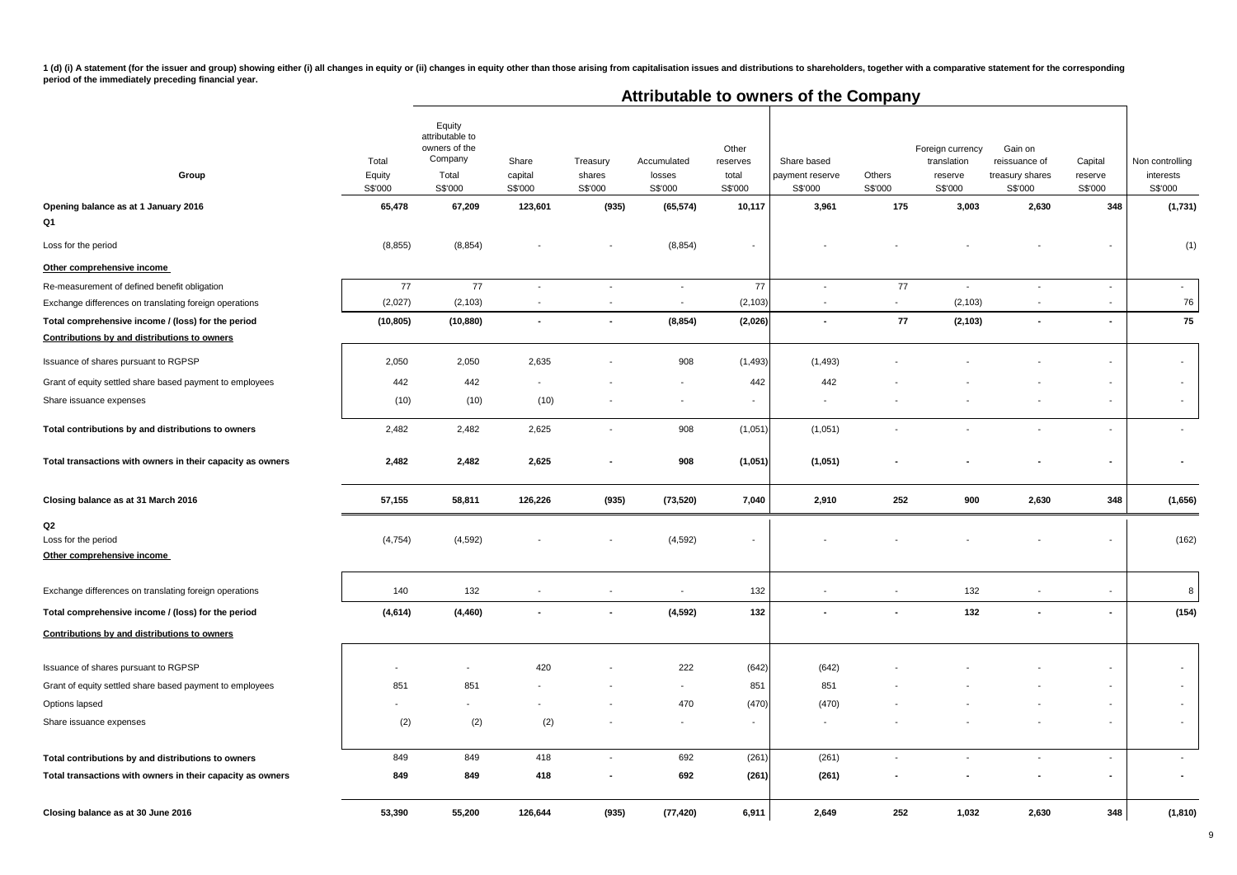1 (d) (i) A statement (for the issuer and group) showing either (i) all changes in equity or (ii) changes in equity other than those arising from capitalisation issues and distributions to shareholders, together with a com

|                                                            |                            |                                                                           |                             |                               |                                  | Attributable to owners of the Company |                                           |                          |                                                       |                                                        |                               |                                         |
|------------------------------------------------------------|----------------------------|---------------------------------------------------------------------------|-----------------------------|-------------------------------|----------------------------------|---------------------------------------|-------------------------------------------|--------------------------|-------------------------------------------------------|--------------------------------------------------------|-------------------------------|-----------------------------------------|
| Group                                                      | Total<br>Equity<br>S\$'000 | Equity<br>attributable to<br>owners of the<br>Company<br>Total<br>S\$'000 | Share<br>capital<br>S\$'000 | Treasury<br>shares<br>S\$'000 | Accumulated<br>losses<br>S\$'000 | Other<br>reserves<br>total<br>S\$'000 | Share based<br>payment reserve<br>S\$'000 | Others<br>S\$'000        | Foreign currency<br>translation<br>reserve<br>S\$'000 | Gain on<br>reissuance of<br>treasury shares<br>S\$'000 | Capital<br>reserve<br>S\$'000 | Non controlling<br>interests<br>S\$'000 |
| Opening balance as at 1 January 2016                       | 65,478                     | 67,209                                                                    | 123,601                     | (935)                         | (65, 574)                        | 10,117                                | 3,961                                     | 175                      | 3,003                                                 | 2,630                                                  | 348                           | (1,731)                                 |
| Q1                                                         |                            |                                                                           |                             |                               |                                  |                                       |                                           |                          |                                                       |                                                        |                               |                                         |
| Loss for the period                                        | (8, 855)                   | (8, 854)                                                                  |                             |                               | (8, 854)                         |                                       |                                           |                          |                                                       |                                                        |                               | (1)                                     |
| Other comprehensive income                                 |                            |                                                                           |                             |                               |                                  |                                       |                                           |                          |                                                       |                                                        |                               |                                         |
| Re-measurement of defined benefit obligation               | 77                         | $77\,$                                                                    | $\overline{\phantom{a}}$    | $\blacksquare$                | $\overline{\phantom{a}}$         | 77                                    | $\blacksquare$                            | 77                       | $\overline{\phantom{a}}$                              | $\overline{\phantom{a}}$                               | $\blacksquare$                | $\overline{\phantom{a}}$                |
| Exchange differences on translating foreign operations     | (2,027)                    | (2, 103)                                                                  | $\overline{\phantom{a}}$    | $\overline{\phantom{a}}$      | $\overline{\phantom{a}}$         | (2, 103)                              | $\overline{\phantom{a}}$                  | $\overline{\phantom{a}}$ | (2, 103)                                              | $\overline{\phantom{a}}$                               | $\overline{\phantom{a}}$      | 76                                      |
| Total comprehensive income / (loss) for the period         | (10, 805)                  | (10, 880)                                                                 | $\sim$                      | $\blacksquare$                | (8, 854)                         | (2,026)                               | $\blacksquare$                            | 77                       | (2, 103)                                              | ä,                                                     |                               | 75                                      |
| Contributions by and distributions to owners               |                            |                                                                           |                             |                               |                                  |                                       |                                           |                          |                                                       |                                                        |                               |                                         |
| Issuance of shares pursuant to RGPSP                       | 2,050                      | 2,050                                                                     | 2,635                       |                               | 908                              | (1, 493)                              | (1, 493)                                  |                          |                                                       |                                                        |                               | $\overline{\phantom{a}}$                |
| Grant of equity settled share based payment to employees   | 442                        | 442                                                                       |                             |                               |                                  | 442                                   | 442                                       |                          |                                                       |                                                        |                               | $\blacksquare$                          |
| Share issuance expenses                                    | (10)                       | (10)                                                                      | (10)                        |                               | $\overline{\phantom{a}}$         | $\overline{\phantom{a}}$              |                                           |                          |                                                       |                                                        |                               | $\sim$                                  |
| Total contributions by and distributions to owners         | 2,482                      | 2,482                                                                     | 2,625                       |                               | 908                              | (1,051)                               | (1,051)                                   |                          |                                                       |                                                        |                               | $\overline{a}$                          |
| Total transactions with owners in their capacity as owners | 2,482                      | 2,482                                                                     | 2,625                       |                               | 908                              | (1,051)                               | (1,051)                                   |                          |                                                       |                                                        |                               |                                         |
| Closing balance as at 31 March 2016                        | 57,155                     | 58,811                                                                    | 126,226                     | (935)                         | (73, 520)                        | 7,040                                 | 2,910                                     | 252                      | 900                                                   | 2,630                                                  | 348                           | (1,656)                                 |
| Q2<br>Loss for the period<br>Other comprehensive income    | (4, 754)                   | (4,592)                                                                   |                             |                               | (4, 592)                         |                                       |                                           |                          |                                                       |                                                        |                               | (162)                                   |
| Exchange differences on translating foreign operations     | 140                        | 132                                                                       | $\overline{\phantom{a}}$    | $\overline{\phantom{a}}$      | $\overline{\phantom{a}}$         | 132                                   | $\overline{\phantom{a}}$                  | $\sim$                   | 132                                                   | $\overline{\phantom{a}}$                               | $\overline{\phantom{a}}$      | 8                                       |
| Total comprehensive income / (loss) for the period         | (4, 614)                   | (4, 460)                                                                  | $\blacksquare$              | $\overline{\phantom{a}}$      | (4, 592)                         | 132                                   | $\blacksquare$                            | $\overline{\phantom{a}}$ | 132                                                   | $\blacksquare$                                         | $\blacksquare$                | (154)                                   |
| Contributions by and distributions to owners               |                            |                                                                           |                             |                               |                                  |                                       |                                           |                          |                                                       |                                                        |                               |                                         |
| Issuance of shares pursuant to RGPSP                       | $\overline{\phantom{a}}$   |                                                                           | 420                         |                               | 222                              | (642)                                 | (642)                                     |                          |                                                       |                                                        |                               |                                         |
| Grant of equity settled share based payment to employees   | 851                        | 851                                                                       |                             |                               | $\blacksquare$                   | 851                                   | 851                                       |                          |                                                       |                                                        |                               |                                         |
| Options lapsed                                             |                            |                                                                           |                             |                               | 470                              | (470)                                 | (470)                                     |                          |                                                       |                                                        |                               |                                         |
| Share issuance expenses                                    | (2)                        | (2)                                                                       | (2)                         |                               |                                  | $\overline{\phantom{a}}$              |                                           |                          |                                                       |                                                        |                               | $\overline{\phantom{a}}$                |
| Total contributions by and distributions to owners         | 849                        | 849                                                                       | 418                         | $\sim$                        | 692                              | (261)                                 | (261)                                     | $\overline{a}$           |                                                       | $\blacksquare$                                         | $\mathbf{r}$                  |                                         |
| Total transactions with owners in their capacity as owners | 849                        | 849                                                                       | 418                         |                               | 692                              | (261)                                 | (261)                                     |                          |                                                       |                                                        | $\sim$                        |                                         |
| Closing balance as at 30 June 2016                         | 53,390                     | 55,200                                                                    | 126,644                     | (935)                         | (77, 420)                        | 6,911                                 | 2,649                                     | 252                      | 1,032                                                 | 2,630                                                  | 348                           | (1, 810)                                |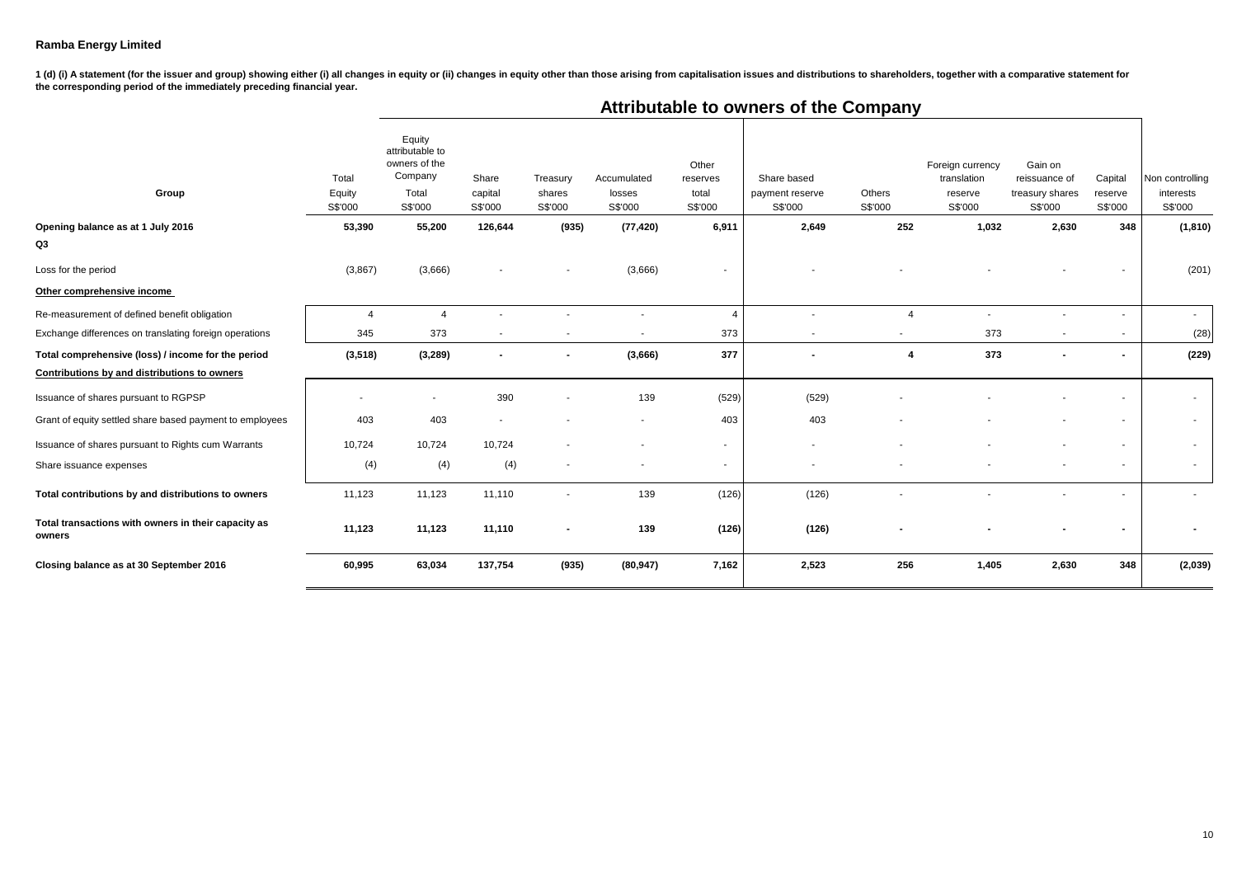1 (d) (i) A statement (for the issuer and group) showing either (i) all changes in equity or (ii) changes in equity other than those arising from capitalisation issues and distributions to shareholders, together with a com **the corresponding period of the immediately preceding financial year.**

|                                                               |                            | Attributable to owners of the company                                     |                             |                               |                                  |                                       |                                           |                   |                                                       |                                                        |                               |                                         |
|---------------------------------------------------------------|----------------------------|---------------------------------------------------------------------------|-----------------------------|-------------------------------|----------------------------------|---------------------------------------|-------------------------------------------|-------------------|-------------------------------------------------------|--------------------------------------------------------|-------------------------------|-----------------------------------------|
| Group                                                         | Total<br>Equity<br>S\$'000 | Equity<br>attributable to<br>owners of the<br>Company<br>Total<br>S\$'000 | Share<br>capital<br>S\$'000 | Treasury<br>shares<br>S\$'000 | Accumulated<br>losses<br>S\$'000 | Other<br>reserves<br>total<br>S\$'000 | Share based<br>payment reserve<br>S\$'000 | Others<br>S\$'000 | Foreign currency<br>translation<br>reserve<br>S\$'000 | Gain on<br>reissuance of<br>treasury shares<br>S\$'000 | Capital<br>reserve<br>S\$'000 | Non controlling<br>interests<br>S\$'000 |
| Opening balance as at 1 July 2016                             | 53,390                     | 55,200                                                                    | 126,644                     | (935)                         | (77, 420)                        | 6,911                                 | 2,649                                     | 252               | 1,032                                                 | 2,630                                                  | 348                           | (1, 810)                                |
| Q3                                                            |                            |                                                                           |                             |                               |                                  |                                       |                                           |                   |                                                       |                                                        |                               |                                         |
| Loss for the period                                           | (3,867)                    | (3,666)                                                                   |                             |                               | (3,666)                          |                                       |                                           |                   |                                                       |                                                        |                               | (201)                                   |
| Other comprehensive income                                    |                            |                                                                           |                             |                               |                                  |                                       |                                           |                   |                                                       |                                                        |                               |                                         |
| Re-measurement of defined benefit obligation                  | $\overline{4}$             | $\Delta$                                                                  |                             |                               | $\overline{\phantom{a}}$         |                                       |                                           | $\overline{4}$    |                                                       |                                                        | $\overline{\phantom{a}}$      | $\sim$                                  |
| Exchange differences on translating foreign operations        | 345                        | 373                                                                       |                             |                               |                                  | 373                                   |                                           |                   | 373                                                   |                                                        | $\blacksquare$                | (28)                                    |
| Total comprehensive (loss) / income for the period            | (3, 518)                   | (3,289)                                                                   |                             |                               | (3,666)                          | 377                                   |                                           | $\overline{4}$    | 373                                                   |                                                        | $\blacksquare$                | (229)                                   |
| Contributions by and distributions to owners                  |                            |                                                                           |                             |                               |                                  |                                       |                                           |                   |                                                       |                                                        |                               |                                         |
| Issuance of shares pursuant to RGPSP                          |                            |                                                                           | 390                         |                               | 139                              | (529)                                 | (529)                                     |                   |                                                       |                                                        |                               | $\sim$                                  |
| Grant of equity settled share based payment to employees      | 403                        | 403                                                                       |                             |                               | $\overline{\phantom{a}}$         | 403                                   | 403                                       |                   |                                                       |                                                        |                               | $\sim$                                  |
| Issuance of shares pursuant to Rights cum Warrants            | 10,724                     | 10,724                                                                    | 10,724                      |                               | ٠                                | ٠                                     |                                           |                   |                                                       |                                                        | $\overline{\phantom{a}}$      | $\sim$                                  |
| Share issuance expenses                                       | (4)                        | (4)                                                                       | (4)                         |                               |                                  | $\overline{\phantom{a}}$              |                                           |                   |                                                       |                                                        |                               | ٠                                       |
| Total contributions by and distributions to owners            | 11,123                     | 11,123                                                                    | 11,110                      | $\overline{\phantom{a}}$      | 139                              | (126)                                 | (126)                                     |                   |                                                       |                                                        | $\overline{\phantom{a}}$      |                                         |
| Total transactions with owners in their capacity as<br>owners | 11,123                     | 11,123                                                                    | 11,110                      |                               | 139                              | (126)                                 | (126)                                     |                   |                                                       |                                                        |                               |                                         |
| Closing balance as at 30 September 2016                       | 60,995                     | 63,034                                                                    | 137,754                     | (935)                         | (80, 947)                        | 7,162                                 | 2,523                                     | 256               | 1,405                                                 | 2,630                                                  | 348                           | (2,039)                                 |

### **Attributable to owners of the Company**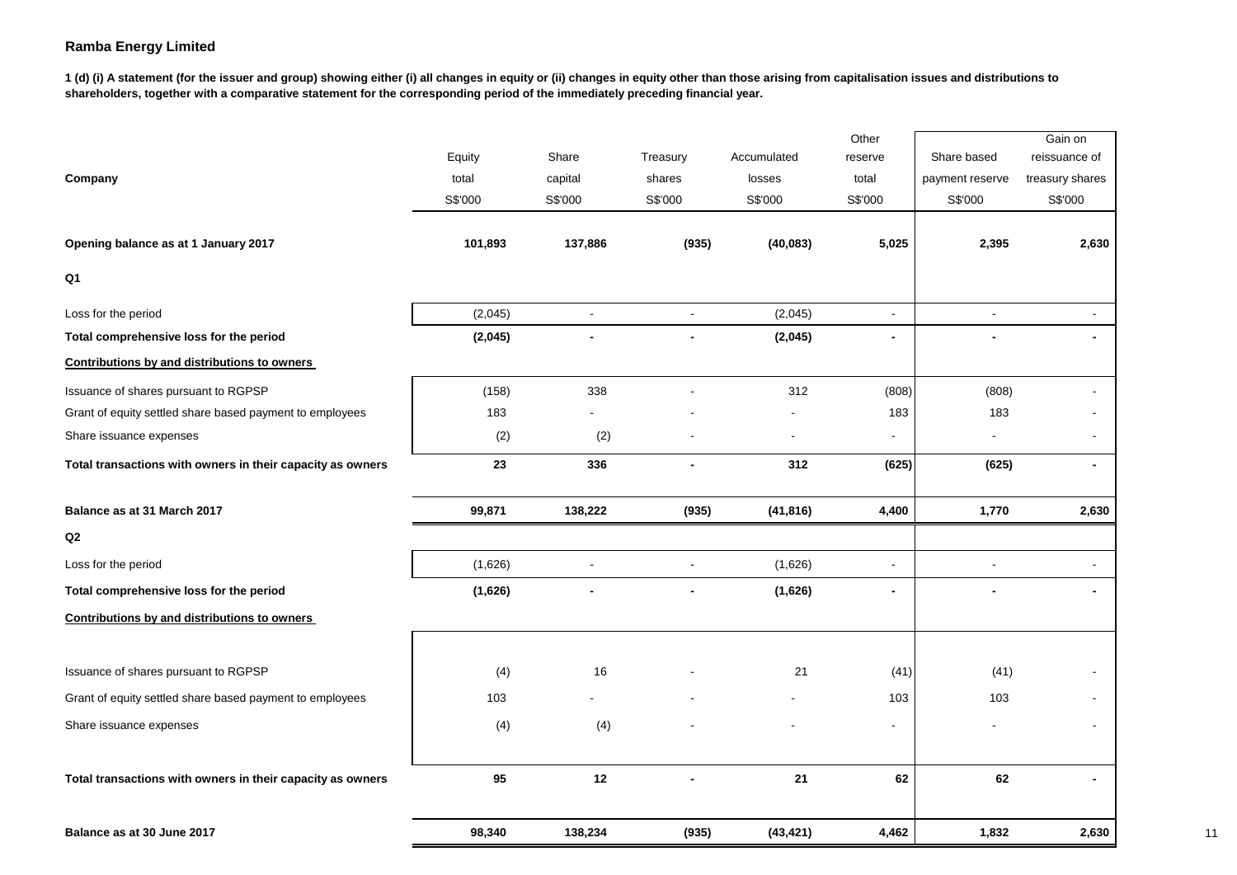|                                                            |         |                |                |             | Other          |                 | Gain on                      |
|------------------------------------------------------------|---------|----------------|----------------|-------------|----------------|-----------------|------------------------------|
|                                                            | Equity  | Share          | Treasury       | Accumulated | reserve        | Share based     | reissuance of                |
| Company                                                    | total   | capital        | shares         | losses      | total          | payment reserve | treasury shares              |
|                                                            | S\$'000 | S\$'000        | S\$'000        | S\$'000     | S\$'000        | S\$'000         | S\$'000                      |
|                                                            |         |                |                |             |                |                 |                              |
| Opening balance as at 1 January 2017                       | 101,893 | 137,886        | (935)          | (40, 083)   | 5,025          | 2,395           | 2,630                        |
| Q <sub>1</sub>                                             |         |                |                |             |                |                 |                              |
| Loss for the period                                        | (2,045) | $\omega$       | $\sim$         | (2,045)     | $\blacksquare$ | $\mathbf{r}$    | ÷,                           |
| Total comprehensive loss for the period                    | (2,045) | $\blacksquare$ | $\blacksquare$ | (2,045)     | $\blacksquare$ | $\blacksquare$  | $\blacksquare$               |
| Contributions by and distributions to owners               |         |                |                |             |                |                 |                              |
| Issuance of shares pursuant to RGPSP                       | (158)   | 338            |                | 312         | (808)          | (808)           |                              |
| Grant of equity settled share based payment to employees   | 183     |                |                |             | 183            | 183             |                              |
| Share issuance expenses                                    | (2)     | (2)            |                |             | $\blacksquare$ |                 | $\blacksquare$               |
| Total transactions with owners in their capacity as owners | 23      | 336            |                | 312         | (625)          | (625)           | $\blacksquare$               |
| Balance as at 31 March 2017                                | 99,871  | 138,222        | (935)          | (41, 816)   | 4,400          | 1,770           | 2,630                        |
| Q2                                                         |         |                |                |             |                |                 |                              |
| Loss for the period                                        | (1,626) | $\blacksquare$ | $\overline{a}$ | (1,626)     | $\overline{a}$ | $\blacksquare$  | $\qquad \qquad \blacksquare$ |
| Total comprehensive loss for the period                    | (1,626) |                | $\blacksquare$ | (1,626)     | $\blacksquare$ |                 |                              |
| Contributions by and distributions to owners               |         |                |                |             |                |                 |                              |
|                                                            |         |                |                |             |                |                 |                              |
| Issuance of shares pursuant to RGPSP                       | (4)     | 16             |                | 21          | (41)           | (41)            |                              |
| Grant of equity settled share based payment to employees   | 103     |                |                |             | 103            | 103             |                              |
| Share issuance expenses                                    | (4)     | (4)            |                |             | $\blacksquare$ |                 | ۰                            |
| Total transactions with owners in their capacity as owners | 95      | 12             |                | 21          | 62             | 62              |                              |
|                                                            |         |                |                |             |                |                 |                              |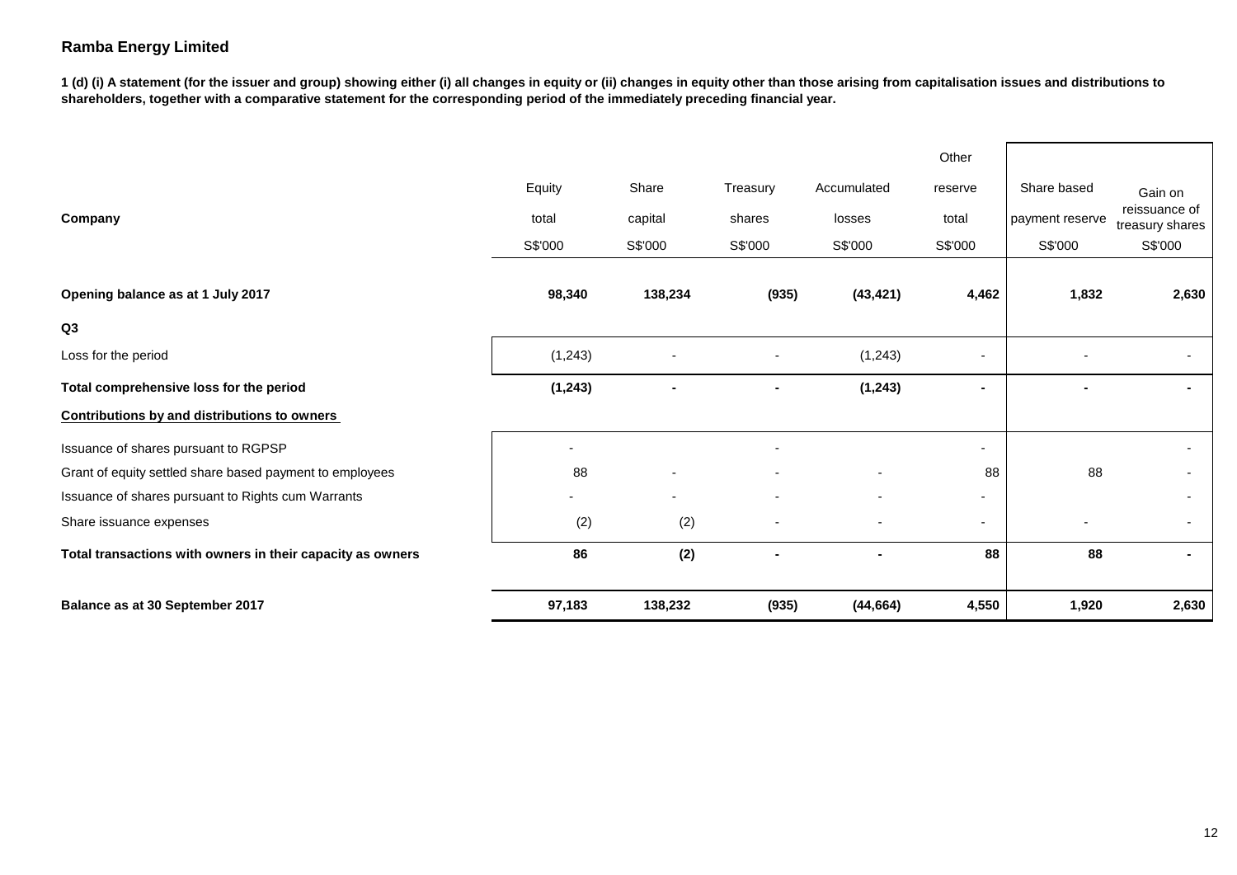|                                                            |          |         |                          |                          | Other                    |                 |                                  |
|------------------------------------------------------------|----------|---------|--------------------------|--------------------------|--------------------------|-----------------|----------------------------------|
|                                                            | Equity   | Share   | Treasury                 | Accumulated              | reserve                  | Share based     | Gain on                          |
| Company                                                    | total    | capital | shares                   | losses                   | total                    | payment reserve | reissuance of<br>treasury shares |
|                                                            | S\$'000  | S\$'000 | S\$'000                  | S\$'000                  | S\$'000                  | S\$'000         | S\$'000                          |
|                                                            |          |         |                          |                          |                          |                 |                                  |
| Opening balance as at 1 July 2017                          | 98,340   | 138,234 | (935)                    | (43, 421)                | 4,462                    | 1,832           | 2,630                            |
| Q <sub>3</sub>                                             |          |         |                          |                          |                          |                 |                                  |
| Loss for the period                                        | (1, 243) |         |                          | (1, 243)                 | $\overline{\phantom{a}}$ |                 |                                  |
| Total comprehensive loss for the period                    | (1, 243) |         |                          | (1, 243)                 |                          |                 |                                  |
| Contributions by and distributions to owners               |          |         |                          |                          |                          |                 |                                  |
| Issuance of shares pursuant to RGPSP                       |          |         |                          |                          | $\sim$                   |                 | ٠                                |
| Grant of equity settled share based payment to employees   | 88       |         |                          |                          | 88                       | 88              |                                  |
| Issuance of shares pursuant to Rights cum Warrants         |          |         | $\overline{\phantom{a}}$ | $\overline{\phantom{a}}$ | $\sim$                   |                 | $\overline{\phantom{a}}$         |
| Share issuance expenses                                    | (2)      | (2)     | $\overline{\phantom{0}}$ | $\overline{\phantom{a}}$ | $\sim$                   |                 | ٠                                |
| Total transactions with owners in their capacity as owners | 86       | (2)     |                          | $\blacksquare$           | 88                       | 88              | ۰.                               |
|                                                            |          |         |                          |                          |                          |                 |                                  |
| Balance as at 30 September 2017                            | 97,183   | 138,232 | (935)                    | (44, 664)                | 4,550                    | 1,920           | 2,630                            |
|                                                            |          |         |                          |                          |                          |                 |                                  |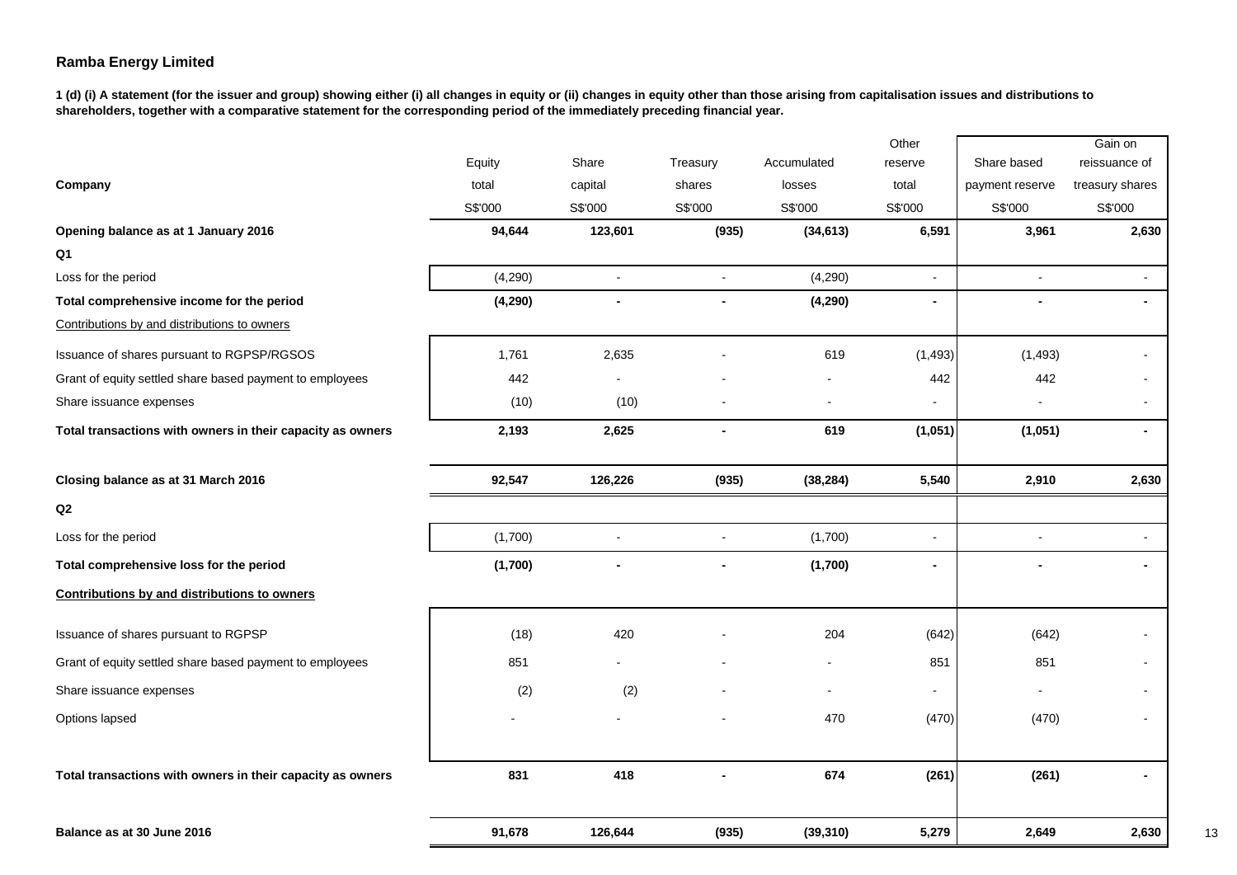|                                                            |          |              |                |             | Other          |                 | Gain on                  |
|------------------------------------------------------------|----------|--------------|----------------|-------------|----------------|-----------------|--------------------------|
|                                                            | Equity   | Share        | Treasury       | Accumulated | reserve        | Share based     | reissuance of            |
| Company                                                    | total    | capital      | shares         | losses      | total          | payment reserve | treasury shares          |
|                                                            | S\$'000  | S\$'000      | S\$'000        | S\$'000     | S\$'000        | S\$'000         | S\$'000                  |
| Opening balance as at 1 January 2016                       | 94,644   | 123,601      | (935)          | (34, 613)   | 6,591          | 3,961           | 2,630                    |
| Q1                                                         |          |              |                |             |                |                 |                          |
| Loss for the period                                        | (4, 290) | $\mathbf{r}$ | $\blacksquare$ | (4,290)     | $\blacksquare$ | $\blacksquare$  | $\blacksquare$           |
| Total comprehensive income for the period                  | (4, 290) |              | $\blacksquare$ | (4, 290)    | $\blacksquare$ | $\blacksquare$  | $\overline{\phantom{0}}$ |
| Contributions by and distributions to owners               |          |              |                |             |                |                 |                          |
| Issuance of shares pursuant to RGPSP/RGSOS                 | 1,761    | 2,635        |                | 619         | (1, 493)       | (1, 493)        |                          |
| Grant of equity settled share based payment to employees   | 442      |              |                |             | 442            | 442             |                          |
| Share issuance expenses                                    | (10)     | (10)         |                |             | $\sim$         | $\blacksquare$  | $\blacksquare$           |
| Total transactions with owners in their capacity as owners | 2,193    | 2,625        | $\blacksquare$ | 619         | (1,051)        | (1,051)         | $\blacksquare$           |
| Closing balance as at 31 March 2016                        | 92,547   | 126,226      | (935)          | (38, 284)   | 5,540          | 2,910           | 2,630                    |
| $\mathsf{Q2}$                                              |          |              |                |             |                |                 |                          |
| Loss for the period                                        | (1,700)  |              | $\overline{a}$ | (1,700)     | $\sim$         | $\blacksquare$  | $\sim$                   |
| Total comprehensive loss for the period                    | (1,700)  |              |                | (1,700)     | $\blacksquare$ |                 | $\blacksquare$           |
| Contributions by and distributions to owners               |          |              |                |             |                |                 |                          |
| Issuance of shares pursuant to RGPSP                       | (18)     | 420          |                | 204         | (642)          | (642)           |                          |
| Grant of equity settled share based payment to employees   | 851      |              |                |             | 851            | 851             |                          |
| Share issuance expenses                                    | (2)      | (2)          |                |             |                | $\blacksquare$  |                          |
| Options lapsed                                             |          |              |                | 470         | (470)          | (470)           |                          |
| Total transactions with owners in their capacity as owners | 831      | 418          |                | 674         | (261)          | (261)           |                          |
| Balance as at 30 June 2016                                 | 91,678   | 126,644      | (935)          | (39, 310)   | 5,279          | 2,649           | 2,630                    |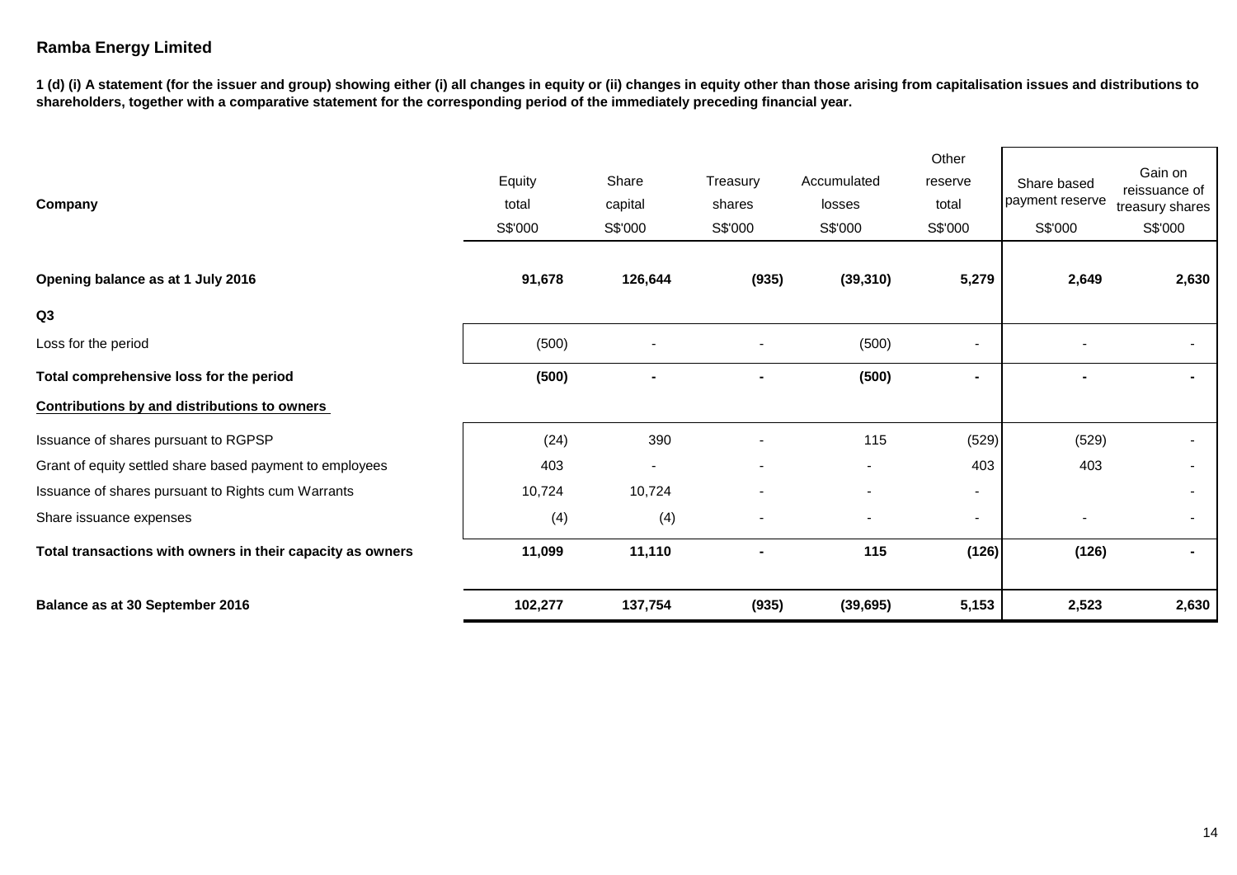| Company                                                    | Equity<br>total<br>S\$'000 | Share<br>capital<br>S\$'000 | Treasury<br>shares<br>S\$'000 | Accumulated<br>losses<br>S\$'000 | Other<br>reserve<br>total<br>S\$'000 | Share based<br>payment reserve<br>S\$'000 | Gain on<br>reissuance of<br>treasury shares<br>S\$'000 |
|------------------------------------------------------------|----------------------------|-----------------------------|-------------------------------|----------------------------------|--------------------------------------|-------------------------------------------|--------------------------------------------------------|
| Opening balance as at 1 July 2016                          | 91,678                     | 126,644                     | (935)                         | (39, 310)                        | 5,279                                | 2,649                                     | 2,630                                                  |
| Q3                                                         |                            |                             |                               |                                  |                                      |                                           |                                                        |
| Loss for the period                                        | (500)                      |                             |                               | (500)                            | $\overline{\phantom{a}}$             |                                           |                                                        |
| Total comprehensive loss for the period                    | (500)                      |                             |                               | (500)                            | $\blacksquare$                       |                                           |                                                        |
| Contributions by and distributions to owners               |                            |                             |                               |                                  |                                      |                                           |                                                        |
| Issuance of shares pursuant to RGPSP                       | (24)                       | 390                         |                               | 115                              | (529)                                | (529)                                     |                                                        |
| Grant of equity settled share based payment to employees   | 403                        | $\blacksquare$              |                               |                                  | 403                                  | 403                                       |                                                        |
| Issuance of shares pursuant to Rights cum Warrants         | 10,724                     | 10,724                      |                               |                                  | $\overline{\phantom{a}}$             |                                           | $\blacksquare$                                         |
| Share issuance expenses                                    | (4)                        | (4)                         |                               |                                  | $\blacksquare$                       |                                           | $\blacksquare$                                         |
| Total transactions with owners in their capacity as owners | 11,099                     | 11,110                      |                               | 115                              | (126)                                | (126)                                     | ۰                                                      |
| Balance as at 30 September 2016                            | 102,277                    | 137,754                     | (935)                         | (39, 695)                        | 5,153                                | 2,523                                     | 2,630                                                  |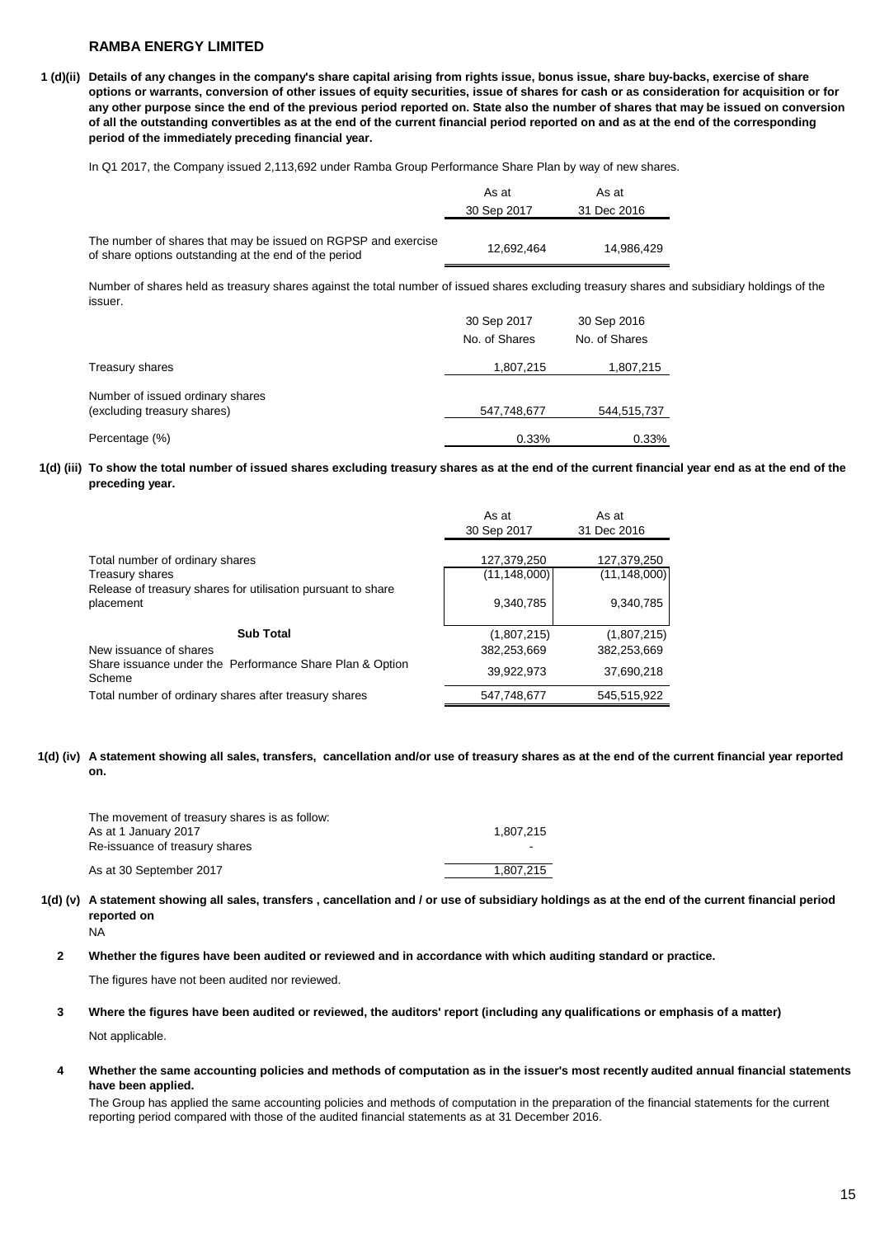**1 (d)(ii) Details of any changes in the company's share capital arising from rights issue, bonus issue, share buy-backs, exercise of share options or warrants, conversion of other issues of equity securities, issue of shares for cash or as consideration for acquisition or for any other purpose since the end of the previous period reported on. State also the number of shares that may be issued on conversion of all the outstanding convertibles as at the end of the current financial period reported on and as at the end of the corresponding period of the immediately preceding financial year.**

In Q1 2017, the Company issued 2,113,692 under Ramba Group Performance Share Plan by way of new shares.

|                                                                                                                        | As at       | As at       |
|------------------------------------------------------------------------------------------------------------------------|-------------|-------------|
|                                                                                                                        | 30 Sep 2017 | 31 Dec 2016 |
| The number of shares that may be issued on RGPSP and exercise<br>of share options outstanding at the end of the period | 12.692.464  | 14.986.429  |

Number of shares held as treasury shares against the total number of issued shares excluding treasury shares and subsidiary holdings of the issuer.

|                                  | 30 Sep 2017   | 30 Sep 2016   |
|----------------------------------|---------------|---------------|
|                                  | No. of Shares | No. of Shares |
| Treasury shares                  | 1,807,215     | 1,807,215     |
| Number of issued ordinary shares |               |               |
| (excluding treasury shares)      | 547,748,677   | 544,515,737   |
| Percentage (%)                   | 0.33%         | 0.33%         |

**1(d) (iii) To show the total number of issued shares excluding treasury shares as at the end of the current financial year end as at the end of the preceding year.**

|                                                                           | As at<br>30 Sep 2017 | As at<br>31 Dec 2016 |
|---------------------------------------------------------------------------|----------------------|----------------------|
|                                                                           |                      |                      |
| Total number of ordinary shares                                           | 127,379,250          | 127,379,250          |
| Treasury shares                                                           | (11, 148, 000)       | (11, 148, 000)       |
| Release of treasury shares for utilisation pursuant to share<br>placement | 9,340,785            | 9,340,785            |
| <b>Sub Total</b>                                                          | (1,807,215)          | (1,807,215)          |
| New issuance of shares                                                    | 382,253,669          | 382,253,669          |
| Share issuance under the Performance Share Plan & Option<br>Scheme        | 39,922,973           | 37,690,218           |
| Total number of ordinary shares after treasury shares                     | 547,748,677          | 545.515.922          |

**1(d) (iv) A statement showing all sales, transfers, cancellation and/or use of treasury shares as at the end of the current financial year reported on.**

| The movement of treasury shares is as follow:<br>As at 1 January 2017 | 1.807.215 |
|-----------------------------------------------------------------------|-----------|
| Re-issuance of treasury shares<br>As at 30 September 2017             | 1.807.215 |

- **1(d) (v) A statement showing all sales, transfers , cancellation and / or use of subsidiary holdings as at the end of the current financial period**  NA **reported on**
	-
	- **2 Whether the figures have been audited or reviewed and in accordance with which auditing standard or practice.**

The figures have not been audited nor reviewed.

- **3** Not applicable. **Where the figures have been audited or reviewed, the auditors' report (including any qualifications or emphasis of a matter)**
- **4 Whether the same accounting policies and methods of computation as in the issuer's most recently audited annual financial statements have been applied.**

The Group has applied the same accounting policies and methods of computation in the preparation of the financial statements for the current reporting period compared with those of the audited financial statements as at 31 December 2016.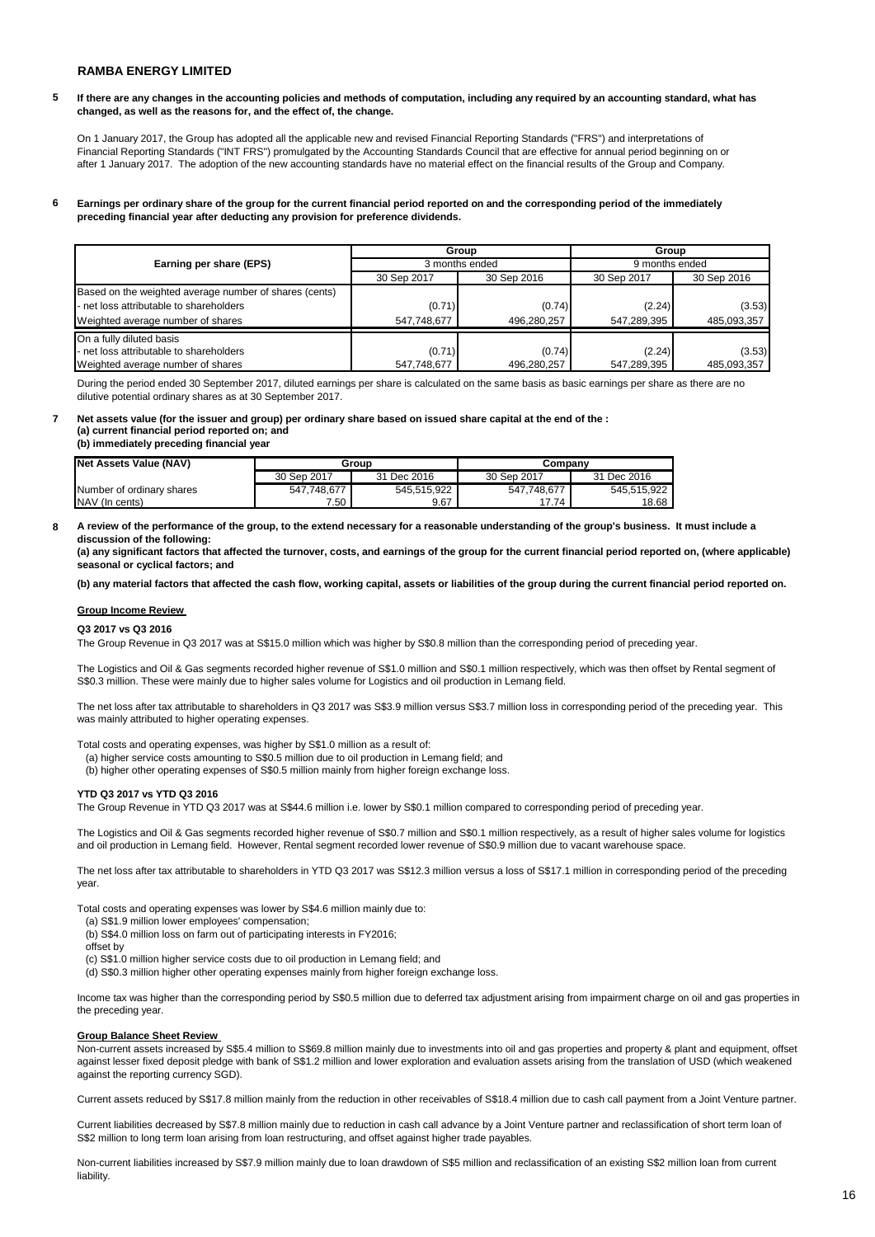**5 If there are any changes in the accounting policies and methods of computation, including any required by an accounting standard, what has changed, as well as the reasons for, and the effect of, the change.**

On 1 January 2017, the Group has adopted all the applicable new and revised Financial Reporting Standards ("FRS") and interpretations of Financial Reporting Standards ("INT FRS") promulgated by the Accounting Standards Council that are effective for annual period beginning on or after 1 January 2017. The adoption of the new accounting standards have no material effect on the financial results of the Group and Company.

**6 Earnings per ordinary share of the group for the current financial period reported on and the corresponding period of the immediately preceding financial year after deducting any provision for preference dividends.**

|                                                        |                | Group       | Group          |             |  |
|--------------------------------------------------------|----------------|-------------|----------------|-------------|--|
| Earning per share (EPS)                                | 3 months ended |             | 9 months ended |             |  |
|                                                        | 30 Sep 2017    | 30 Sep 2016 | 30 Sep 2017    | 30 Sep 2016 |  |
| Based on the weighted average number of shares (cents) |                |             |                |             |  |
| - net loss attributable to shareholders                | (0.71)         | (0.74)      | (2.24)         | (3.53)      |  |
| Weighted average number of shares                      | 547,748,677    | 496.280.257 | 547,289,395    | 485,093,357 |  |
| On a fully diluted basis                               |                |             |                |             |  |
| - net loss attributable to shareholders                | (0.71)         | (0.74)      | (2.24)         | (3.53)      |  |
| Weighted average number of shares                      | 547.748.677    | 496,280,257 | 547,289,395    | 485,093,357 |  |

During the period ended 30 September 2017, diluted earnings per share is calculated on the same basis as basic earnings per share as there are no dilutive potential ordinary shares as at 30 September 2017.

**7 Net assets value (for the issuer and group) per ordinary share based on issued share capital at the end of the : (a) current financial period reported on; and (b) immediately preceding financial year** 

| Net Assets Value (NAV)    |             | Group       | Companv     |             |  |
|---------------------------|-------------|-------------|-------------|-------------|--|
|                           | 30 Sep 2017 | 31 Dec 2016 | 30 Sep 2017 | 31 Dec 2016 |  |
| Number of ordinary shares | 547,748,677 | 545.515.922 | 547.748.677 | 545.515.922 |  |
| NAV (In cents)            | 7.50        | 9.67        | 17 74       | 18.68       |  |

**8 A review of the performance of the group, to the extend necessary for a reasonable understanding of the group's business. It must include a discussion of the following:**

**(a) any significant factors that affected the turnover, costs, and earnings of the group for the current financial period reported on, (where applicable) seasonal or cyclical factors; and**

**(b) any material factors that affected the cash flow, working capital, assets or liabilities of the group during the current financial period reported on.**

#### **Group Income Review**

#### **Q3 2017 vs Q3 2016**

The Group Revenue in Q3 2017 was at S\$15.0 million which was higher by S\$0.8 million than the corresponding period of preceding year.

The Logistics and Oil & Gas segments recorded higher revenue of S\$1.0 million and S\$0.1 million respectively, which was then offset by Rental segment of S\$0.3 million. These were mainly due to higher sales volume for Logistics and oil production in Lemang field.

The net loss after tax attributable to shareholders in Q3 2017 was S\$3.9 million versus S\$3.7 million loss in corresponding period of the preceding year. This was mainly attributed to higher operating expenses.

Total costs and operating expenses, was higher by S\$1.0 million as a result of:

(a) higher service costs amounting to S\$0.5 million due to oil production in Lemang field; and

(b) higher other operating expenses of S\$0.5 million mainly from higher foreign exchange loss.

#### **YTD Q3 2017 vs YTD Q3 2016**

The Group Revenue in YTD Q3 2017 was at S\$44.6 million i.e. lower by S\$0.1 million compared to corresponding period of preceding year.

The Logistics and Oil & Gas segments recorded higher revenue of S\$0.7 million and S\$0.1 million respectively, as a result of higher sales volume for logistics and oil production in Lemang field. However, Rental segment recorded lower revenue of S\$0.9 million due to vacant warehouse space.

The net loss after tax attributable to shareholders in YTD Q3 2017 was S\$12.3 million versus a loss of S\$17.1 million in corresponding period of the preceding year.

Total costs and operating expenses was lower by S\$4.6 million mainly due to:

- (a) S\$1.9 million lower employees' compensation;
- (b) S\$4.0 million loss on farm out of participating interests in FY2016;
- offset by
- (c) S\$1.0 million higher service costs due to oil production in Lemang field; and
- (d) S\$0.3 million higher other operating expenses mainly from higher foreign exchange loss.

Income tax was higher than the corresponding period by S\$0.5 million due to deferred tax adjustment arising from impairment charge on oil and gas properties in the preceding year.

#### **Group Balance Sheet Review**

Non-current assets increased by S\$5.4 million to S\$69.8 million mainly due to investments into oil and gas properties and property & plant and equipment, offset against lesser fixed deposit pledge with bank of S\$1.2 million and lower exploration and evaluation assets arising from the translation of USD (which weakened against the reporting currency SGD).

Current assets reduced by S\$17.8 million mainly from the reduction in other receivables of S\$18.4 million due to cash call payment from a Joint Venture partner.

Current liabilities decreased by S\$7.8 million mainly due to reduction in cash call advance by a Joint Venture partner and reclassification of short term loan of S\$2 million to long term loan arising from loan restructuring, and offset against higher trade payables.

Non-current liabilities increased by S\$7.9 million mainly due to loan drawdown of S\$5 million and reclassification of an existing S\$2 million loan from current liability.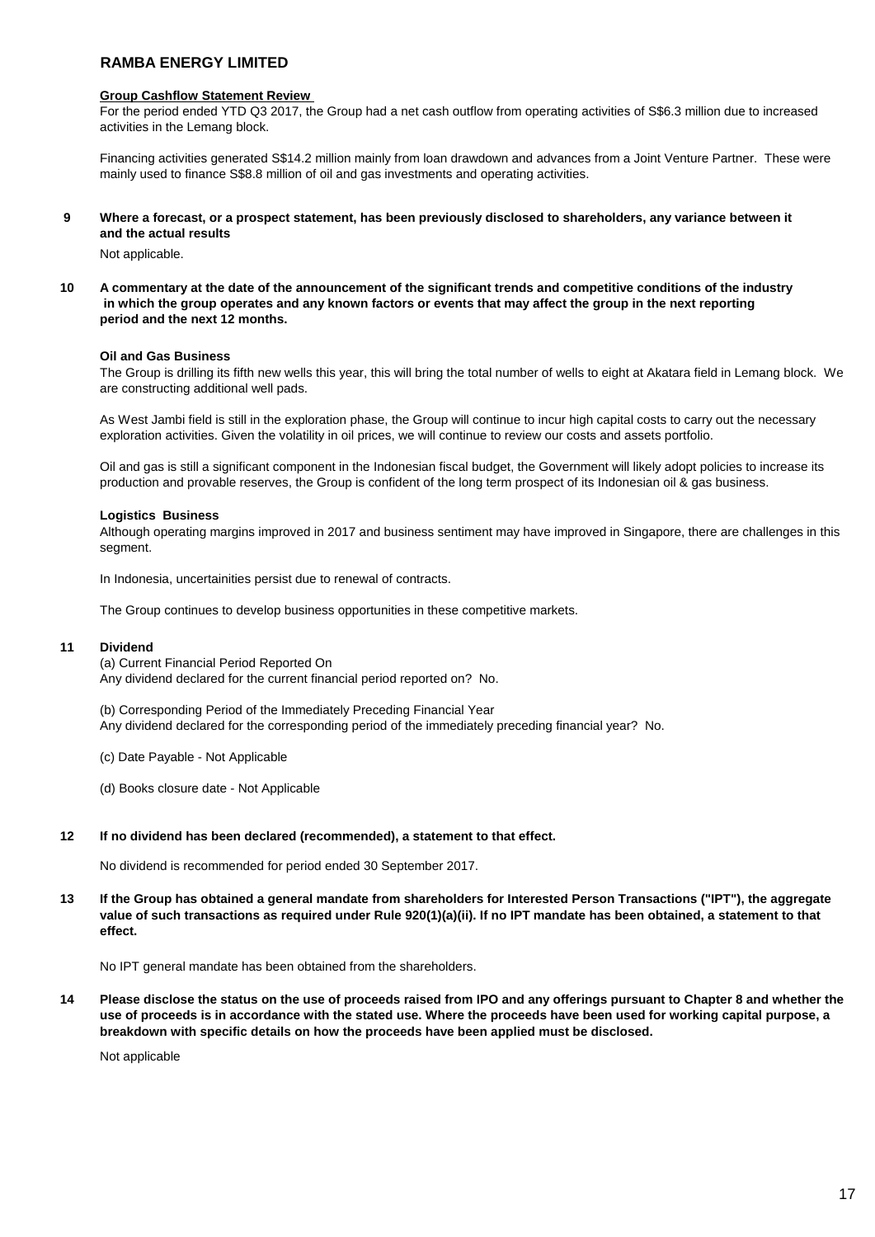#### **Group Cashflow Statement Review**

For the period ended YTD Q3 2017, the Group had a net cash outflow from operating activities of S\$6.3 million due to increased activities in the Lemang block.

Financing activities generated S\$14.2 million mainly from loan drawdown and advances from a Joint Venture Partner. These were mainly used to finance S\$8.8 million of oil and gas investments and operating activities.

#### **9 Where a forecast, or a prospect statement, has been previously disclosed to shareholders, any variance between it and the actual results**

Not applicable.

**10 A commentary at the date of the announcement of the significant trends and competitive conditions of the industry in which the group operates and any known factors or events that may affect the group in the next reporting period and the next 12 months.** 

#### **Oil and Gas Business**

The Group is drilling its fifth new wells this year, this will bring the total number of wells to eight at Akatara field in Lemang block. We are constructing additional well pads.

As West Jambi field is still in the exploration phase, the Group will continue to incur high capital costs to carry out the necessary exploration activities. Given the volatility in oil prices, we will continue to review our costs and assets portfolio.

Oil and gas is still a significant component in the Indonesian fiscal budget, the Government will likely adopt policies to increase its production and provable reserves, the Group is confident of the long term prospect of its Indonesian oil & gas business.

#### **Logistics Business**

Although operating margins improved in 2017 and business sentiment may have improved in Singapore, there are challenges in this segment.

In Indonesia, uncertainities persist due to renewal of contracts.

The Group continues to develop business opportunities in these competitive markets.

#### **11 Dividend**

(a) Current Financial Period Reported On Any dividend declared for the current financial period reported on? No.

(b) Corresponding Period of the Immediately Preceding Financial Year Any dividend declared for the corresponding period of the immediately preceding financial year? No.

- (c) Date Payable Not Applicable
- (d) Books closure date Not Applicable

#### **12 If no dividend has been declared (recommended), a statement to that effect.**

No dividend is recommended for period ended 30 September 2017.

**13 If the Group has obtained a general mandate from shareholders for Interested Person Transactions ("IPT"), the aggregate value of such transactions as required under Rule 920(1)(a)(ii). If no IPT mandate has been obtained, a statement to that effect.**

No IPT general mandate has been obtained from the shareholders.

**14 Please disclose the status on the use of proceeds raised from IPO and any offerings pursuant to Chapter 8 and whether the use of proceeds is in accordance with the stated use. Where the proceeds have been used for working capital purpose, a breakdown with specific details on how the proceeds have been applied must be disclosed.**

Not applicable